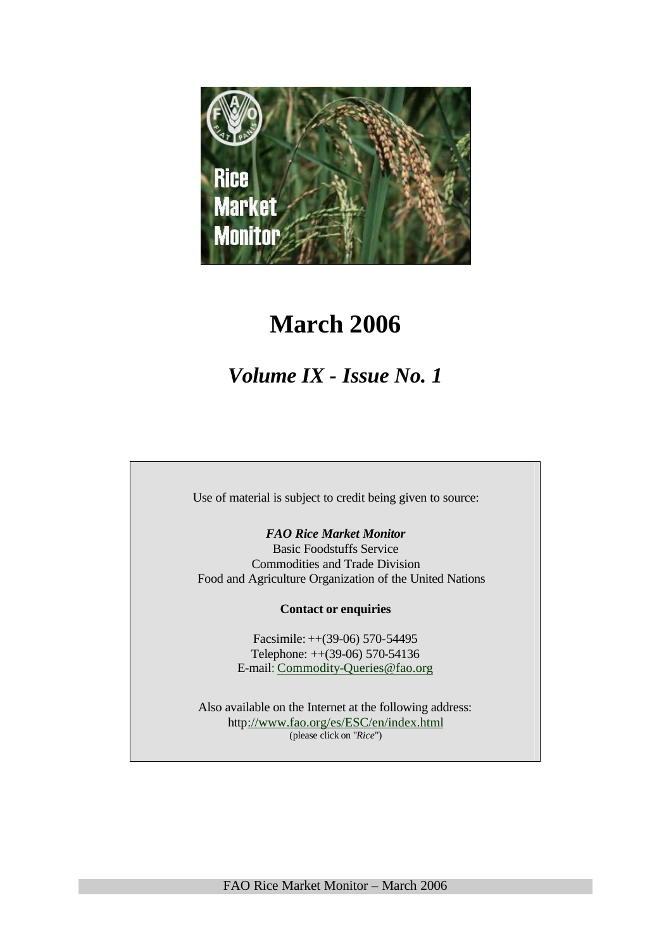

# **March 2006**

# *Volume IX - Issue No. 1*

Use of material is subject to credit being given to source:

*FAO Rice Market Monitor*

Basic Foodstuffs Service Commodities and Trade Division Food and Agriculture Organization of the United Nations

**Contact or enquiries**

Facsimile: ++(39-06) 570-54495 Telephone: ++(39-06) 570-54136 E-mail: Commodity-Queries@fao.org

Also available on the Internet at the following address: http://www.fao.org/es/ESC/en/index.html (please click on "*Rice*")

FAO Rice Market Monitor – March 2006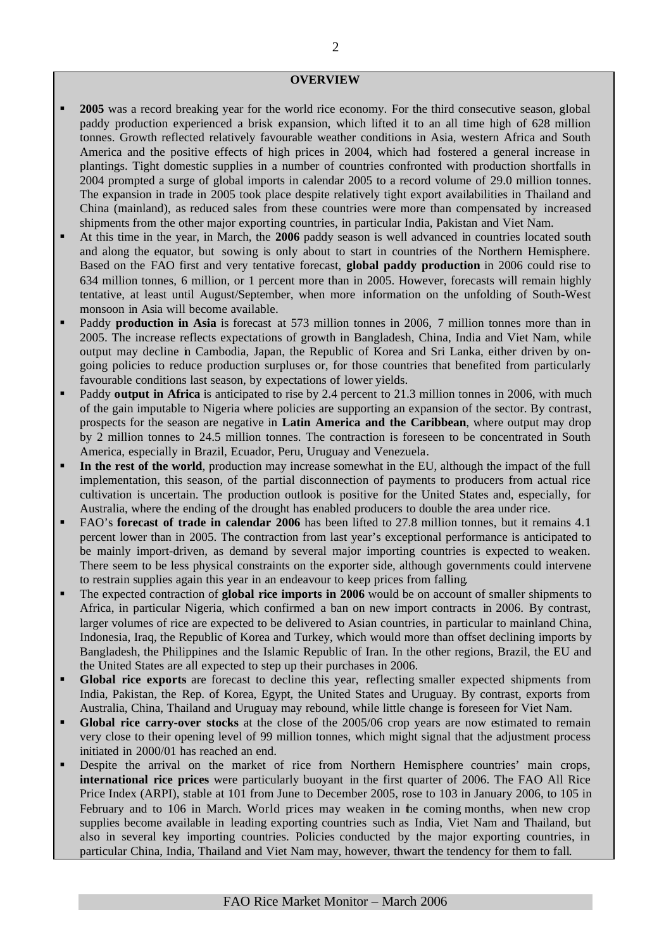#### **OVERVIEW**

- ß **2005** was a record breaking year for the world rice economy. For the third consecutive season, global paddy production experienced a brisk expansion, which lifted it to an all time high of 628 million tonnes. Growth reflected relatively favourable weather conditions in Asia, western Africa and South America and the positive effects of high prices in 2004, which had fostered a general increase in plantings. Tight domestic supplies in a number of countries confronted with production shortfalls in 2004 prompted a surge of global imports in calendar 2005 to a record volume of 29.0 million tonnes. The expansion in trade in 2005 took place despite relatively tight export availabilities in Thailand and China (mainland), as reduced sales from these countries were more than compensated by increased shipments from the other major exporting countries, in particular India, Pakistan and Viet Nam.
- ß At this time in the year, in March, the **2006** paddy season is well advanced in countries located south and along the equator, but sowing is only about to start in countries of the Northern Hemisphere. Based on the FAO first and very tentative forecast, **global paddy production** in 2006 could rise to 634 million tonnes, 6 million, or 1 percent more than in 2005. However, forecasts will remain highly tentative, at least until August/September, when more information on the unfolding of South-West monsoon in Asia will become available.
- ß Paddy **production in Asia** is forecast at 573 million tonnes in 2006, 7 million tonnes more than in 2005. The increase reflects expectations of growth in Bangladesh, China, India and Viet Nam, while output may decline in Cambodia, Japan, the Republic of Korea and Sri Lanka, either driven by ongoing policies to reduce production surpluses or, for those countries that benefited from particularly favourable conditions last season, by expectations of lower yields.
- ß Paddy **output in Africa** is anticipated to rise by 2.4 percent to 21.3 million tonnes in 2006, with much of the gain imputable to Nigeria where policies are supporting an expansion of the sector. By contrast, prospects for the season are negative in **Latin America and the Caribbean**, where output may drop by 2 million tonnes to 24.5 million tonnes. The contraction is foreseen to be concentrated in South America, especially in Brazil, Ecuador, Peru, Uruguay and Venezuela.
- ß **In the rest of the world**, production may increase somewhat in the EU, although the impact of the full implementation, this season, of the partial disconnection of payments to producers from actual rice cultivation is uncertain. The production outlook is positive for the United States and, especially, for Australia, where the ending of the drought has enabled producers to double the area under rice.
- ß FAO's **forecast of trade in calendar 2006** has been lifted to 27.8 million tonnes, but it remains 4.1 percent lower than in 2005. The contraction from last year's exceptional performance is anticipated to be mainly import-driven, as demand by several major importing countries is expected to weaken. There seem to be less physical constraints on the exporter side, although governments could intervene to restrain supplies again this year in an endeavour to keep prices from falling.
- ß The expected contraction of **global rice imports in 2006** would be on account of smaller shipments to Africa, in particular Nigeria, which confirmed a ban on new import contracts in 2006. By contrast, larger volumes of rice are expected to be delivered to Asian countries, in particular to mainland China, Indonesia, Iraq, the Republic of Korea and Turkey, which would more than offset declining imports by Bangladesh, the Philippines and the Islamic Republic of Iran. In the other regions, Brazil, the EU and the United States are all expected to step up their purchases in 2006.
- ß **Global rice exports** are forecast to decline this year, reflecting smaller expected shipments from India, Pakistan, the Rep. of Korea, Egypt, the United States and Uruguay. By contrast, exports from Australia, China, Thailand and Uruguay may rebound, while little change is foreseen for Viet Nam.
- **Global rice carry-over stocks** at the close of the 2005/06 crop years are now estimated to remain very close to their opening level of 99 million tonnes, which might signal that the adjustment process initiated in 2000/01 has reached an end.
- ß Despite the arrival on the market of rice from Northern Hemisphere countries' main crops, **international rice prices** were particularly buoyant in the first quarter of 2006. The FAO All Rice Price Index (ARPI), stable at 101 from June to December 2005, rose to 103 in January 2006, to 105 in February and to 106 in March. World prices may weaken in the coming months, when new crop supplies become available in leading exporting countries such as India, Viet Nam and Thailand, but also in several key importing countries. Policies conducted by the major exporting countries, in particular China, India, Thailand and Viet Nam may, however, thwart the tendency for them to fall.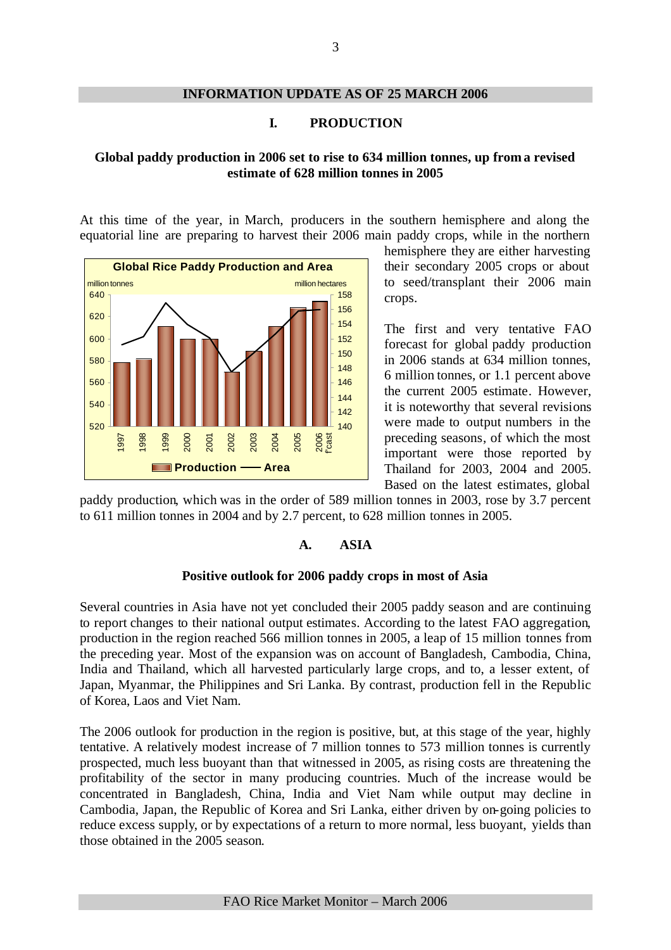# **INFORMATION UPDATE AS OF 25 MARCH 2006**

# **I. PRODUCTION**

# **Global paddy production in 2006 set to rise to 634 million tonnes, up from a revised estimate of 628 million tonnes in 2005**

At this time of the year, in March, producers in the southern hemisphere and along the equatorial line are preparing to harvest their 2006 main paddy crops, while in the northern



hemisphere they are either harvesting their secondary 2005 crops or about to seed/transplant their 2006 main crops.

The first and very tentative FAO forecast for global paddy production in 2006 stands at 634 million tonnes, 6 million tonnes, or 1.1 percent above the current 2005 estimate. However, it is noteworthy that several revisions were made to output numbers in the preceding seasons, of which the most important were those reported by Thailand for 2003, 2004 and 2005. Based on the latest estimates, global

paddy production, which was in the order of 589 million tonnes in 2003, rose by 3.7 percent to 611 million tonnes in 2004 and by 2.7 percent, to 628 million tonnes in 2005.

# **A. ASIA**

### **Positive outlook for 2006 paddy crops in most of Asia**

Several countries in Asia have not yet concluded their 2005 paddy season and are continuing to report changes to their national output estimates. According to the latest FAO aggregation, production in the region reached 566 million tonnes in 2005, a leap of 15 million tonnes from the preceding year. Most of the expansion was on account of Bangladesh, Cambodia, China, India and Thailand, which all harvested particularly large crops, and to, a lesser extent, of Japan, Myanmar, the Philippines and Sri Lanka. By contrast, production fell in the Republic of Korea, Laos and Viet Nam.

The 2006 outlook for production in the region is positive, but, at this stage of the year, highly tentative. A relatively modest increase of 7 million tonnes to 573 million tonnes is currently prospected, much less buoyant than that witnessed in 2005, as rising costs are threatening the profitability of the sector in many producing countries. Much of the increase would be concentrated in Bangladesh, China, India and Viet Nam while output may decline in Cambodia, Japan, the Republic of Korea and Sri Lanka, either driven by on-going policies to reduce excess supply, or by expectations of a return to more normal, less buoyant, yields than those obtained in the 2005 season.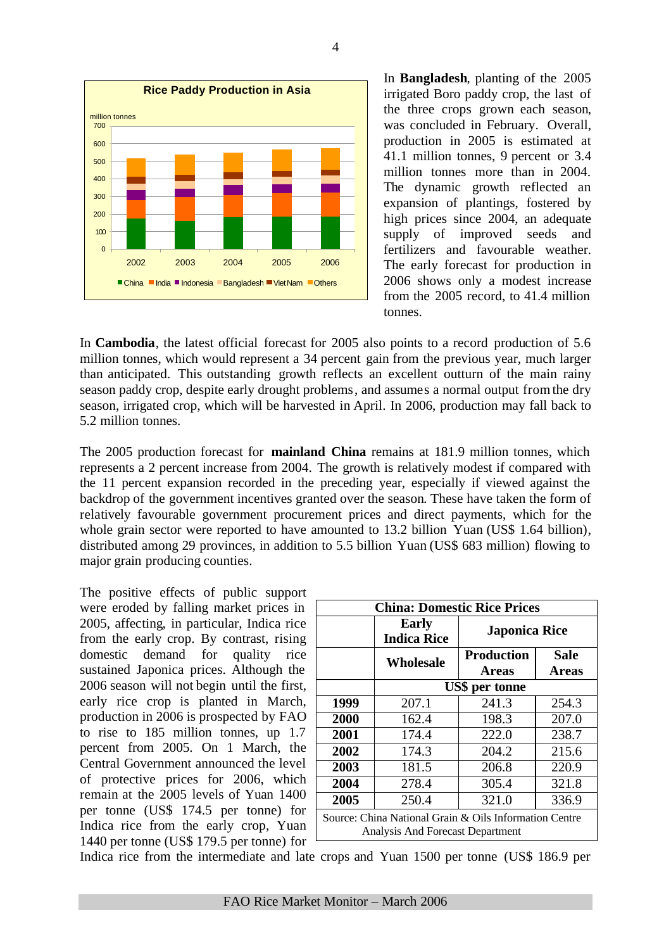

In **Bangladesh**, planting of the 2005 irrigated Boro paddy crop, the last of the three crops grown each season, was concluded in February. Overall, production in 2005 is estimated at 41.1 million tonnes, 9 percent or 3.4 million tonnes more than in 2004. The dynamic growth reflected an expansion of plantings, fostered by high prices since 2004, an adequate supply of improved seeds and fertilizers and favourable weather. The early forecast for production in 2006 shows only a modest increase from the 2005 record, to 41.4 million tonnes.

In **Cambodia**, the latest official forecast for 2005 also points to a record production of 5.6 million tonnes, which would represent a 34 percent gain from the previous year, much larger than anticipated. This outstanding growth reflects an excellent outturn of the main rainy season paddy crop, despite early drought problems, and assumes a normal output from the dry season, irrigated crop, which will be harvested in April. In 2006, production may fall back to 5.2 million tonnes.

The 2005 production forecast for **mainland China** remains at 181.9 million tonnes, which represents a 2 percent increase from 2004. The growth is relatively modest if compared with the 11 percent expansion recorded in the preceding year, especially if viewed against the backdrop of the government incentives granted over the season. These have taken the form of relatively favourable government procurement prices and direct payments, which for the whole grain sector were reported to have amounted to 13.2 billion Yuan (US\$ 1.64 billion), distributed among 29 provinces, in addition to 5.5 billion Yuan (US\$ 683 million) flowing to major grain producing counties.

The positive effects of public support were eroded by falling market prices in 2005, affecting, in particular, Indica rice from the early crop. By contrast, rising domestic demand for quality rice sustained Japonica prices. Although the 2006 season will not begin until the first, early rice crop is planted in March, production in 2006 is prospected by FAO to rise to 185 million tonnes, up 1.7 percent from 2005. On 1 March, the Central Government announced the level of protective prices for 2006, which remain at the 2005 levels of Yuan 1400 per tonne (US\$ 174.5 per tonne) for Indica rice from the early crop, Yuan 1440 per tonne (US\$ 179.5 per tonne) for

|      | <b>Early</b><br><b>Indica Rice</b> |                                                                                                                                                                                                                                                                                                                                               |             |  |  |  |  |  |  |  |  |  |
|------|------------------------------------|-----------------------------------------------------------------------------------------------------------------------------------------------------------------------------------------------------------------------------------------------------------------------------------------------------------------------------------------------|-------------|--|--|--|--|--|--|--|--|--|
|      |                                    | <b>China: Domestic Rice Prices</b><br><b>Japonica Rice</b><br><b>Production</b><br><b>Areas</b><br>US\$ per tonne<br>207.1<br>241.3<br>162.4<br>198.3<br>174.4<br>222.0<br>174.3<br>204.2<br>181.5<br>206.8<br>278.4<br>305.4<br>250.4<br>321.0<br>Source: China National Grain & Oils Information Centre<br>Analysis And Forecast Department | <b>Sale</b> |  |  |  |  |  |  |  |  |  |
|      | <b>Wholesale</b>                   |                                                                                                                                                                                                                                                                                                                                               | Areas       |  |  |  |  |  |  |  |  |  |
|      |                                    | 254.3                                                                                                                                                                                                                                                                                                                                         |             |  |  |  |  |  |  |  |  |  |
| 1999 |                                    |                                                                                                                                                                                                                                                                                                                                               |             |  |  |  |  |  |  |  |  |  |
| 2000 |                                    |                                                                                                                                                                                                                                                                                                                                               | 207.0       |  |  |  |  |  |  |  |  |  |
| 2001 |                                    |                                                                                                                                                                                                                                                                                                                                               | 238.7       |  |  |  |  |  |  |  |  |  |
| 2002 |                                    |                                                                                                                                                                                                                                                                                                                                               | 215.6       |  |  |  |  |  |  |  |  |  |
| 2003 |                                    |                                                                                                                                                                                                                                                                                                                                               | 220.9       |  |  |  |  |  |  |  |  |  |
| 2004 |                                    |                                                                                                                                                                                                                                                                                                                                               | 321.8       |  |  |  |  |  |  |  |  |  |
| 2005 |                                    |                                                                                                                                                                                                                                                                                                                                               | 336.9       |  |  |  |  |  |  |  |  |  |
|      |                                    |                                                                                                                                                                                                                                                                                                                                               |             |  |  |  |  |  |  |  |  |  |

Indica rice from the intermediate and late crops and Yuan 1500 per tonne (US\$ 186.9 per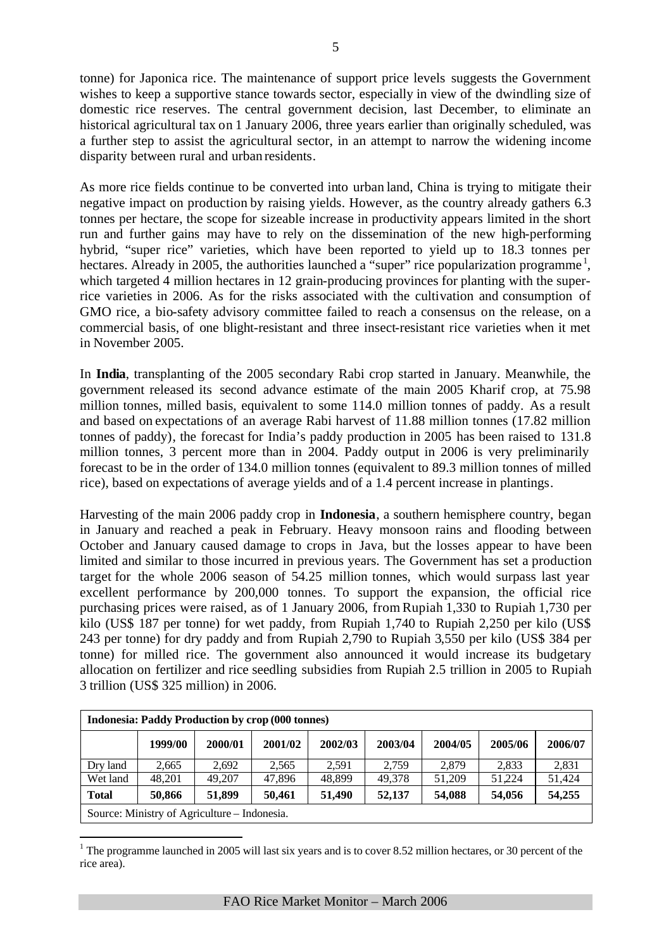tonne) for Japonica rice. The maintenance of support price levels suggests the Government wishes to keep a supportive stance towards sector, especially in view of the dwindling size of domestic rice reserves. The central government decision, last December, to eliminate an historical agricultural tax on 1 January 2006, three years earlier than originally scheduled, was a further step to assist the agricultural sector, in an attempt to narrow the widening income disparity between rural and urban residents.

As more rice fields continue to be converted into urban land, China is trying to mitigate their negative impact on production by raising yields. However, as the country already gathers 6.3 tonnes per hectare, the scope for sizeable increase in productivity appears limited in the short run and further gains may have to rely on the dissemination of the new high-performing hybrid, "super rice" varieties, which have been reported to yield up to 18.3 tonnes per hectares. Already in 2005, the authorities launched a "super" rice popularization programme  $\frac{1}{2}$ , which targeted 4 million hectares in 12 grain-producing provinces for planting with the superrice varieties in 2006. As for the risks associated with the cultivation and consumption of GMO rice, a bio-safety advisory committee failed to reach a consensus on the release, on a commercial basis, of one blight-resistant and three insect-resistant rice varieties when it met in November 2005.

In **India**, transplanting of the 2005 secondary Rabi crop started in January. Meanwhile, the government released its second advance estimate of the main 2005 Kharif crop, at 75.98 million tonnes, milled basis, equivalent to some 114.0 million tonnes of paddy. As a result and based on expectations of an average Rabi harvest of 11.88 million tonnes (17.82 million tonnes of paddy), the forecast for India's paddy production in 2005 has been raised to 131.8 million tonnes, 3 percent more than in 2004. Paddy output in 2006 is very preliminarily forecast to be in the order of 134.0 million tonnes (equivalent to 89.3 million tonnes of milled rice), based on expectations of average yields and of a 1.4 percent increase in plantings.

Harvesting of the main 2006 paddy crop in **Indonesia**, a southern hemisphere country, began in January and reached a peak in February. Heavy monsoon rains and flooding between October and January caused damage to crops in Java, but the losses appear to have been limited and similar to those incurred in previous years. The Government has set a production target for the whole 2006 season of 54.25 million tonnes, which would surpass last year excellent performance by 200,000 tonnes. To support the expansion, the official rice purchasing prices were raised, as of 1 January 2006, from Rupiah 1,330 to Rupiah 1,730 per kilo (US\$ 187 per tonne) for wet paddy, from Rupiah 1,740 to Rupiah 2,250 per kilo (US\$ 243 per tonne) for dry paddy and from Rupiah 2,790 to Rupiah 3,550 per kilo (US\$ 384 per tonne) for milled rice. The government also announced it would increase its budgetary allocation on fertilizer and rice seedling subsidies from Rupiah 2.5 trillion in 2005 to Rupiah 3 trillion (US\$ 325 million) in 2006.

|              |                                              |         | <b>Indonesia: Paddy Production by crop (000 tonnes)</b> |         |         |         |         |         |
|--------------|----------------------------------------------|---------|---------------------------------------------------------|---------|---------|---------|---------|---------|
|              | 1999/00                                      | 2000/01 | 2001/02                                                 | 2002/03 | 2003/04 | 2004/05 | 2005/06 | 2006/07 |
| Dry land     | 2,665                                        | 2.692   | 2.565                                                   | 2.591   | 2.759   | 2.879   | 2.833   | 2,831   |
| Wet land     | 48,201                                       | 49,207  | 47,896                                                  | 48,899  | 49.378  | 51,209  | 51.224  | 51,424  |
| <b>Total</b> | 50,866                                       | 51,899  | 50,461                                                  | 51.490  | 52,137  | 54,088  | 54,056  | 54,255  |
|              | Source: Ministry of Agriculture – Indonesia. |         |                                                         |         |         |         |         |         |

<sup>&</sup>lt;sup>1</sup> The programme launched in 2005 will last six years and is to cover 8.52 million hectares, or 30 percent of the rice area).

l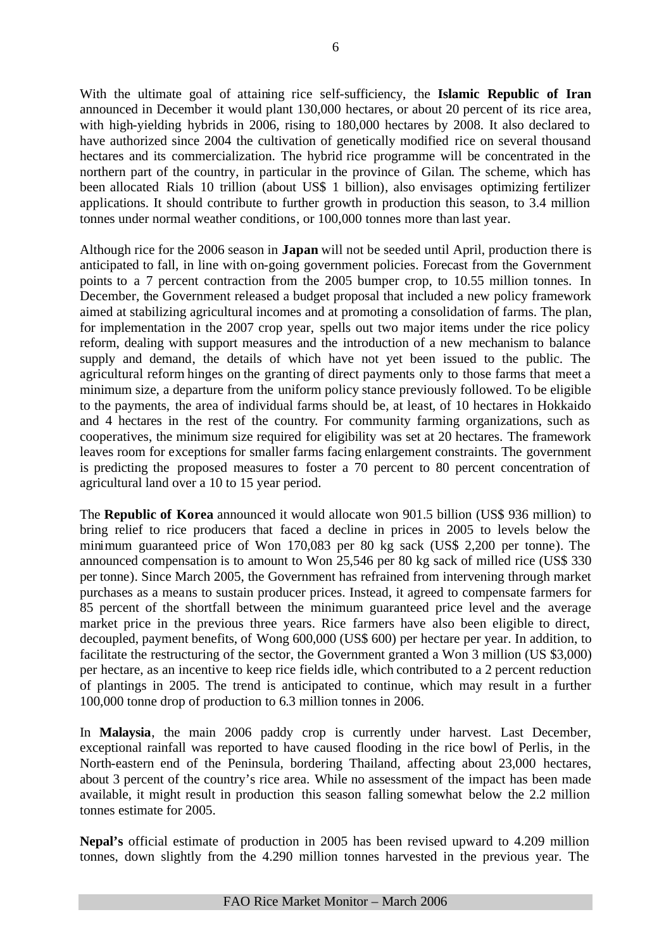With the ultimate goal of attaining rice self-sufficiency, the **Islamic Republic of Iran** announced in December it would plant 130,000 hectares, or about 20 percent of its rice area, with high-yielding hybrids in 2006, rising to 180,000 hectares by 2008. It also declared to have authorized since 2004 the cultivation of genetically modified rice on several thousand hectares and its commercialization. The hybrid rice programme will be concentrated in the northern part of the country, in particular in the province of Gilan. The scheme, which has been allocated Rials 10 trillion (about US\$ 1 billion), also envisages optimizing fertilizer applications. It should contribute to further growth in production this season, to 3.4 million tonnes under normal weather conditions, or 100,000 tonnes more than last year.

Although rice for the 2006 season in **Japan** will not be seeded until April, production there is anticipated to fall, in line with on-going government policies. Forecast from the Government points to a 7 percent contraction from the 2005 bumper crop, to 10.55 million tonnes. In December, the Government released a budget proposal that included a new policy framework aimed at stabilizing agricultural incomes and at promoting a consolidation of farms. The plan, for implementation in the 2007 crop year, spells out two major items under the rice policy reform, dealing with support measures and the introduction of a new mechanism to balance supply and demand, the details of which have not yet been issued to the public. The agricultural reform hinges on the granting of direct payments only to those farms that meet a minimum size, a departure from the uniform policy stance previously followed. To be eligible to the payments, the area of individual farms should be, at least, of 10 hectares in Hokkaido and 4 hectares in the rest of the country. For community farming organizations, such as cooperatives, the minimum size required for eligibility was set at 20 hectares. The framework leaves room for exceptions for smaller farms facing enlargement constraints. The government is predicting the proposed measures to foster a 70 percent to 80 percent concentration of agricultural land over a 10 to 15 year period.

The **Republic of Korea** announced it would allocate won 901.5 billion (US\$ 936 million) to bring relief to rice producers that faced a decline in prices in 2005 to levels below the minimum guaranteed price of Won 170,083 per 80 kg sack (US\$ 2,200 per tonne). The announced compensation is to amount to Won 25,546 per 80 kg sack of milled rice (US\$ 330 per tonne). Since March 2005, the Government has refrained from intervening through market purchases as a means to sustain producer prices. Instead, it agreed to compensate farmers for 85 percent of the shortfall between the minimum guaranteed price level and the average market price in the previous three years. Rice farmers have also been eligible to direct, decoupled, payment benefits, of Wong 600,000 (US\$ 600) per hectare per year. In addition, to facilitate the restructuring of the sector, the Government granted a Won 3 million (US \$3,000) per hectare, as an incentive to keep rice fields idle, which contributed to a 2 percent reduction of plantings in 2005. The trend is anticipated to continue, which may result in a further 100,000 tonne drop of production to 6.3 million tonnes in 2006.

In **Malaysia**, the main 2006 paddy crop is currently under harvest. Last December, exceptional rainfall was reported to have caused flooding in the rice bowl of Perlis, in the North-eastern end of the Peninsula, bordering Thailand, affecting about 23,000 hectares, about 3 percent of the country's rice area. While no assessment of the impact has been made available, it might result in production this season falling somewhat below the 2.2 million tonnes estimate for 2005.

**Nepal's** official estimate of production in 2005 has been revised upward to 4.209 million tonnes, down slightly from the 4.290 million tonnes harvested in the previous year. The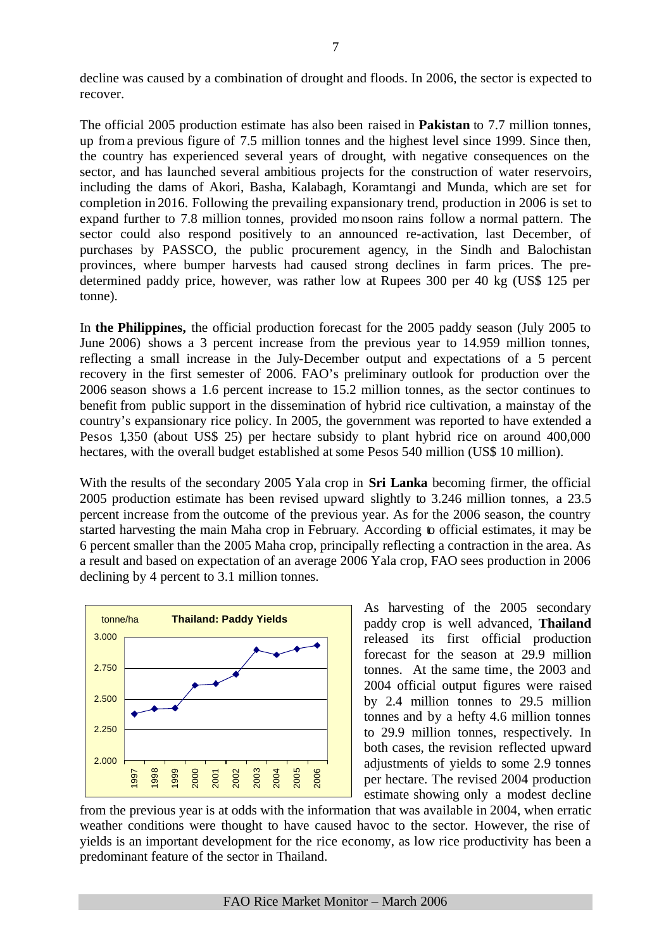decline was caused by a combination of drought and floods. In 2006, the sector is expected to recover.

The official 2005 production estimate has also been raised in **Pakistan** to 7.7 million tonnes, up from a previous figure of 7.5 million tonnes and the highest level since 1999. Since then, the country has experienced several years of drought, with negative consequences on the sector, and has launched several ambitious projects for the construction of water reservoirs, including the dams of Akori, Basha, Kalabagh, Koramtangi and Munda, which are set for completion in 2016. Following the prevailing expansionary trend, production in 2006 is set to expand further to 7.8 million tonnes, provided mo nsoon rains follow a normal pattern. The sector could also respond positively to an announced re-activation, last December, of purchases by PASSCO, the public procurement agency, in the Sindh and Balochistan provinces, where bumper harvests had caused strong declines in farm prices. The predetermined paddy price, however, was rather low at Rupees 300 per 40 kg (US\$ 125 per tonne).

In **the Philippines,** the official production forecast for the 2005 paddy season (July 2005 to June 2006) shows a 3 percent increase from the previous year to 14.959 million tonnes, reflecting a small increase in the July-December output and expectations of a 5 percent recovery in the first semester of 2006. FAO's preliminary outlook for production over the 2006 season shows a 1.6 percent increase to 15.2 million tonnes, as the sector continues to benefit from public support in the dissemination of hybrid rice cultivation, a mainstay of the country's expansionary rice policy. In 2005, the government was reported to have extended a Pesos 1,350 (about US\$ 25) per hectare subsidy to plant hybrid rice on around 400,000 hectares, with the overall budget established at some Pesos 540 million (US\$ 10 million).

With the results of the secondary 2005 Yala crop in **Sri Lanka** becoming firmer, the official 2005 production estimate has been revised upward slightly to 3.246 million tonnes, a 23.5 percent increase from the outcome of the previous year. As for the 2006 season, the country started harvesting the main Maha crop in February. According to official estimates, it may be 6 percent smaller than the 2005 Maha crop, principally reflecting a contraction in the area. As a result and based on expectation of an average 2006 Yala crop, FAO sees production in 2006 declining by 4 percent to 3.1 million tonnes.



As harvesting of the 2005 secondary paddy crop is well advanced, **Thailand** released its first official production forecast for the season at 29.9 million tonnes. At the same time, the 2003 and 2004 official output figures were raised by 2.4 million tonnes to 29.5 million tonnes and by a hefty 4.6 million tonnes to 29.9 million tonnes, respectively. In both cases, the revision reflected upward adjustments of yields to some 2.9 tonnes per hectare. The revised 2004 production estimate showing only a modest decline

from the previous year is at odds with the information that was available in 2004, when erratic weather conditions were thought to have caused havoc to the sector. However, the rise of yields is an important development for the rice economy, as low rice productivity has been a predominant feature of the sector in Thailand.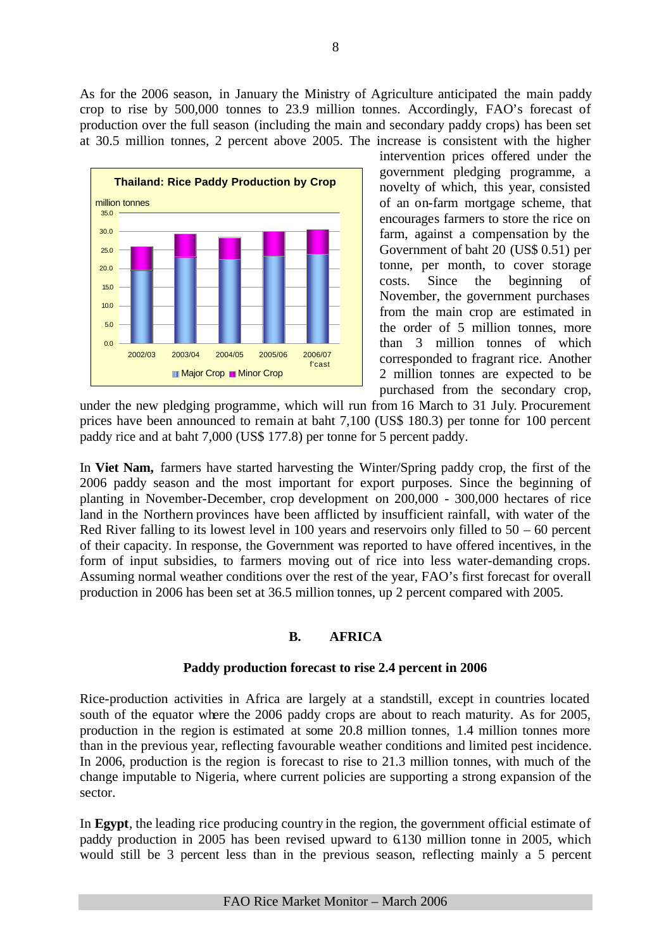As for the 2006 season, in January the Ministry of Agriculture anticipated the main paddy crop to rise by 500,000 tonnes to 23.9 million tonnes. Accordingly, FAO's forecast of production over the full season (including the main and secondary paddy crops) has been set at 30.5 million tonnes, 2 percent above 2005. The increase is consistent with the higher



intervention prices offered under the government pledging programme, a novelty of which, this year, consisted of an on-farm mortgage scheme, that encourages farmers to store the rice on farm, against a compensation by the Government of baht 20 (US\$ 0.51) per tonne, per month, to cover storage costs. Since the beginning of November, the government purchases from the main crop are estimated in the order of 5 million tonnes, more than 3 million tonnes of which corresponded to fragrant rice. Another 2 million tonnes are expected to be purchased from the secondary crop,

under the new pledging programme, which will run from 16 March to 31 July. Procurement prices have been announced to remain at baht 7,100 (US\$ 180.3) per tonne for 100 percent paddy rice and at baht 7,000 (US\$ 177.8) per tonne for 5 percent paddy.

In **Viet Nam,** farmers have started harvesting the Winter/Spring paddy crop, the first of the 2006 paddy season and the most important for export purposes. Since the beginning of planting in November-December, crop development on 200,000 - 300,000 hectares of rice land in the Northern provinces have been afflicted by insufficient rainfall, with water of the Red River falling to its lowest level in 100 years and reservoirs only filled to  $50 - 60$  percent of their capacity. In response, the Government was reported to have offered incentives, in the form of input subsidies, to farmers moving out of rice into less water-demanding crops. Assuming normal weather conditions over the rest of the year, FAO's first forecast for overall production in 2006 has been set at 36.5 million tonnes, up 2 percent compared with 2005.

# **B. AFRICA**

# **Paddy production forecast to rise 2.4 percent in 2006**

Rice-production activities in Africa are largely at a standstill, except in countries located south of the equator where the 2006 paddy crops are about to reach maturity. As for 2005, production in the region is estimated at some 20.8 million tonnes, 1.4 million tonnes more than in the previous year, reflecting favourable weather conditions and limited pest incidence. In 2006, production is the region is forecast to rise to 21.3 million tonnes, with much of the change imputable to Nigeria, where current policies are supporting a strong expansion of the sector.

In **Egypt**, the leading rice producing country in the region, the government official estimate of paddy production in 2005 has been revised upward to 6.130 million tonne in 2005, which would still be 3 percent less than in the previous season, reflecting mainly a 5 percent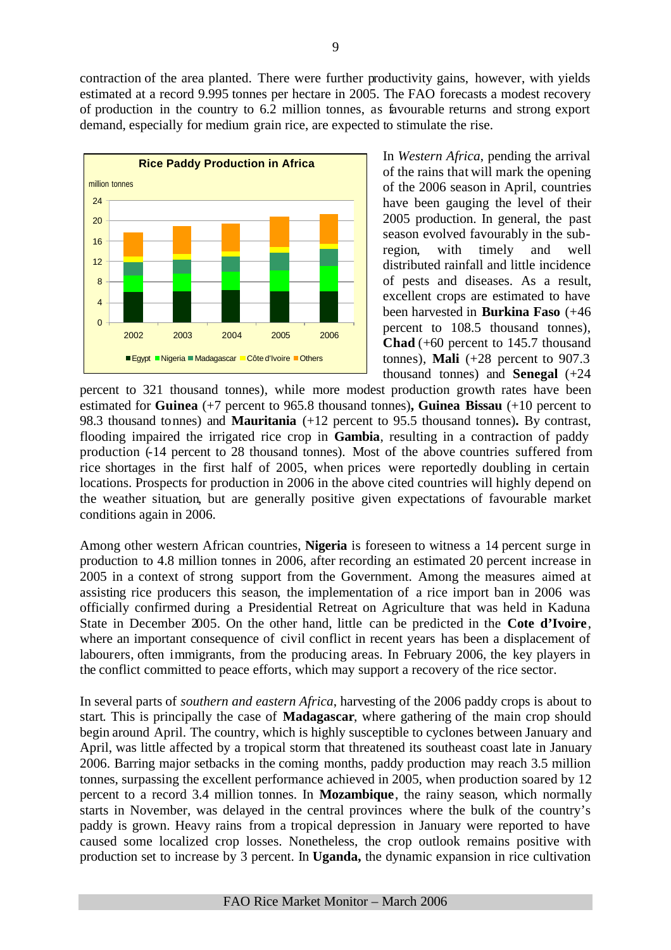contraction of the area planted. There were further productivity gains, however, with yields estimated at a record 9.995 tonnes per hectare in 2005. The FAO forecasts a modest recovery of production in the country to 6.2 million tonnes, as favourable returns and strong export demand, especially for medium grain rice, are expected to stimulate the rise.



In *Western Africa*, pending the arrival of the rains that will mark the opening of the 2006 season in April, countries have been gauging the level of their 2005 production. In general, the past season evolved favourably in the subregion, with timely and well distributed rainfall and little incidence of pests and diseases. As a result, excellent crops are estimated to have been harvested in **Burkina Faso** (+46 percent to 108.5 thousand tonnes), **Chad** (+60 percent to 145.7 thousand tonnes), **Mali**  $(+28$  percent to 907.3 thousand tonnes) and **Senegal** (+24

percent to 321 thousand tonnes), while more modest production growth rates have been estimated for **Guinea** (+7 percent to 965.8 thousand tonnes)**, Guinea Bissau** (+10 percent to 98.3 thousand tonnes) and **Mauritania** (+12 percent to 95.5 thousand tonnes)**.** By contrast, flooding impaired the irrigated rice crop in **Gambia**, resulting in a contraction of paddy production (-14 percent to 28 thousand tonnes). Most of the above countries suffered from rice shortages in the first half of 2005, when prices were reportedly doubling in certain locations. Prospects for production in 2006 in the above cited countries will highly depend on the weather situation, but are generally positive given expectations of favourable market conditions again in 2006.

Among other western African countries, **Nigeria** is foreseen to witness a 14 percent surge in production to 4.8 million tonnes in 2006, after recording an estimated 20 percent increase in 2005 in a context of strong support from the Government. Among the measures aimed at assisting rice producers this season, the implementation of a rice import ban in 2006 was officially confirmed during a Presidential Retreat on Agriculture that was held in Kaduna State in December 2005. On the other hand, little can be predicted in the **Cote d'Ivoire**, where an important consequence of civil conflict in recent years has been a displacement of labourers, often immigrants, from the producing areas. In February 2006, the key players in the conflict committed to peace efforts, which may support a recovery of the rice sector.

In several parts of *southern and eastern Africa*, harvesting of the 2006 paddy crops is about to start. This is principally the case of **Madagascar**, where gathering of the main crop should begin around April. The country, which is highly susceptible to cyclones between January and April, was little affected by a tropical storm that threatened its southeast coast late in January 2006. Barring major setbacks in the coming months, paddy production may reach 3.5 million tonnes, surpassing the excellent performance achieved in 2005, when production soared by 12 percent to a record 3.4 million tonnes. In **Mozambique**, the rainy season, which normally starts in November, was delayed in the central provinces where the bulk of the country's paddy is grown. Heavy rains from a tropical depression in January were reported to have caused some localized crop losses. Nonetheless, the crop outlook remains positive with production set to increase by 3 percent. In **Uganda,** the dynamic expansion in rice cultivation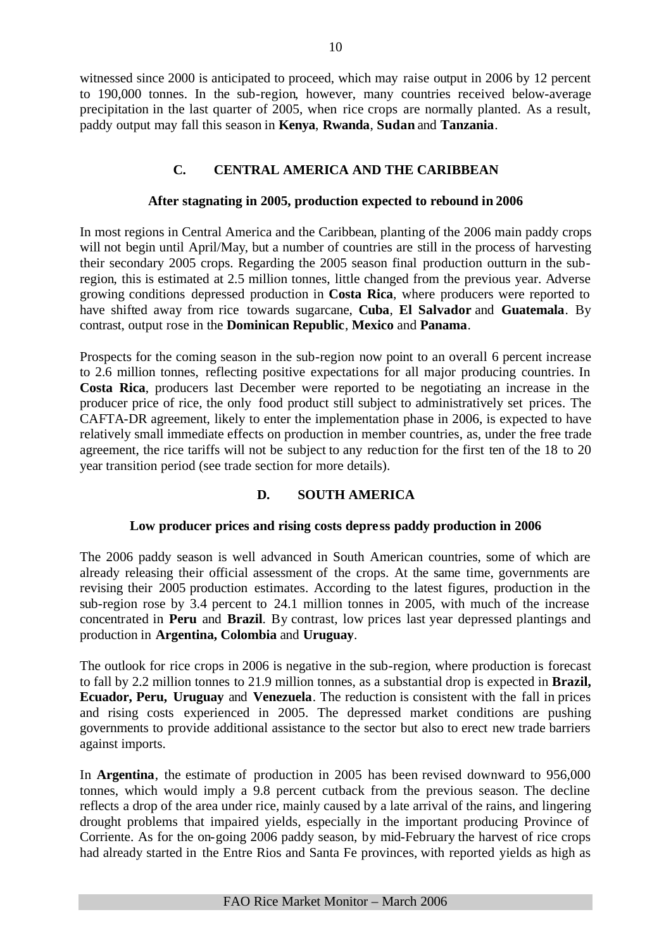witnessed since 2000 is anticipated to proceed, which may raise output in 2006 by 12 percent to 190,000 tonnes. In the sub-region, however, many countries received below-average precipitation in the last quarter of 2005, when rice crops are normally planted. As a result, paddy output may fall this season in **Kenya**, **Rwanda**, **Sudan** and **Tanzania**.

# **C. CENTRAL AMERICA AND THE CARIBBEAN**

# **After stagnating in 2005, production expected to rebound in 2006**

In most regions in Central America and the Caribbean, planting of the 2006 main paddy crops will not begin until April/May, but a number of countries are still in the process of harvesting their secondary 2005 crops. Regarding the 2005 season final production outturn in the subregion, this is estimated at 2.5 million tonnes, little changed from the previous year. Adverse growing conditions depressed production in **Costa Rica**, where producers were reported to have shifted away from rice towards sugarcane, **Cuba**, **El Salvador** and **Guatemala**. By contrast, output rose in the **Dominican Republic**, **Mexico** and **Panama**.

Prospects for the coming season in the sub-region now point to an overall 6 percent increase to 2.6 million tonnes, reflecting positive expectations for all major producing countries. In **Costa Rica**, producers last December were reported to be negotiating an increase in the producer price of rice, the only food product still subject to administratively set prices. The CAFTA-DR agreement, likely to enter the implementation phase in 2006, is expected to have relatively small immediate effects on production in member countries, as, under the free trade agreement, the rice tariffs will not be subject to any reduction for the first ten of the 18 to 20 year transition period (see trade section for more details).

# **D. SOUTH AMERICA**

# **Low producer prices and rising costs depress paddy production in 2006**

The 2006 paddy season is well advanced in South American countries, some of which are already releasing their official assessment of the crops. At the same time, governments are revising their 2005 production estimates. According to the latest figures, production in the sub-region rose by 3.4 percent to 24.1 million tonnes in 2005, with much of the increase concentrated in **Peru** and **Brazil**. By contrast, low prices last year depressed plantings and production in **Argentina, Colombia** and **Uruguay**.

The outlook for rice crops in 2006 is negative in the sub-region, where production is forecast to fall by 2.2 million tonnes to 21.9 million tonnes, as a substantial drop is expected in **Brazil, Ecuador, Peru, Uruguay** and **Venezuela**. The reduction is consistent with the fall in prices and rising costs experienced in 2005. The depressed market conditions are pushing governments to provide additional assistance to the sector but also to erect new trade barriers against imports.

In **Argentina**, the estimate of production in 2005 has been revised downward to 956,000 tonnes, which would imply a 9.8 percent cutback from the previous season. The decline reflects a drop of the area under rice, mainly caused by a late arrival of the rains, and lingering drought problems that impaired yields, especially in the important producing Province of Corriente. As for the on-going 2006 paddy season, by mid-February the harvest of rice crops had already started in the Entre Rios and Santa Fe provinces, with reported yields as high as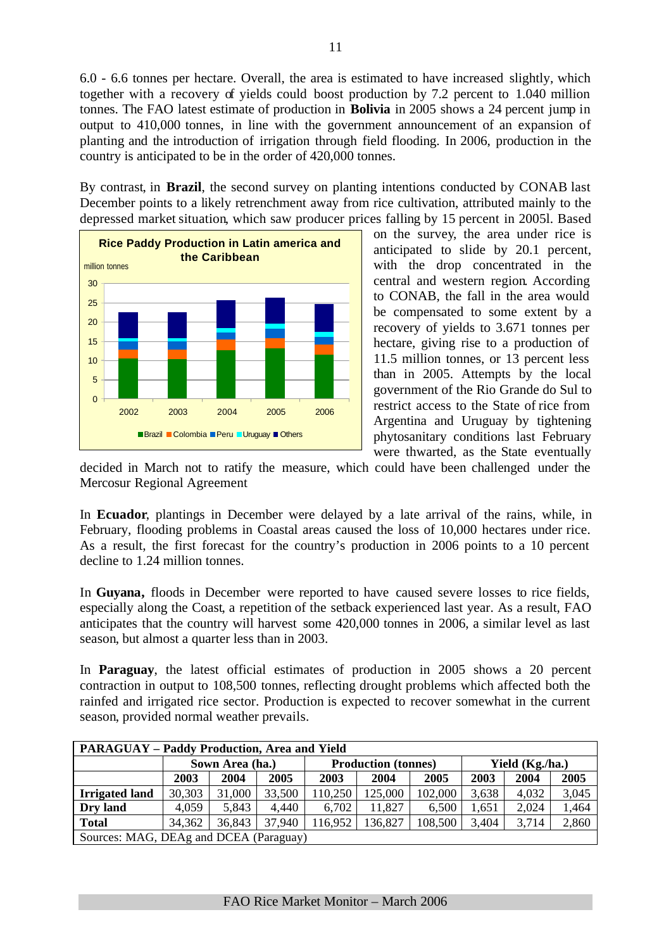6.0 - 6.6 tonnes per hectare. Overall, the area is estimated to have increased slightly, which together with a recovery of yields could boost production by 7.2 percent to 1.040 million tonnes. The FAO latest estimate of production in **Bolivia** in 2005 shows a 24 percent jump in output to 410,000 tonnes, in line with the government announcement of an expansion of planting and the introduction of irrigation through field flooding. In 2006, production in the country is anticipated to be in the order of 420,000 tonnes.

By contrast, in **Brazil**, the second survey on planting intentions conducted by CONAB last December points to a likely retrenchment away from rice cultivation, attributed mainly to the depressed market situation, which saw producer prices falling by 15 percent in 2005l. Based



on the survey, the area under rice is anticipated to slide by 20.1 percent, with the drop concentrated in the central and western region. According to CONAB, the fall in the area would be compensated to some extent by a recovery of yields to 3.671 tonnes per hectare, giving rise to a production of 11.5 million tonnes, or 13 percent less than in 2005. Attempts by the local government of the Rio Grande do Sul to restrict access to the State of rice from Argentina and Uruguay by tightening phytosanitary conditions last February were thwarted, as the State eventually

decided in March not to ratify the measure, which could have been challenged under the Mercosur Regional Agreement

In **Ecuador**, plantings in December were delayed by a late arrival of the rains, while, in February, flooding problems in Coastal areas caused the loss of 10,000 hectares under rice. As a result, the first forecast for the country's production in 2006 points to a 10 percent decline to 1.24 million tonnes.

In **Guyana,** floods in December were reported to have caused severe losses to rice fields, especially along the Coast, a repetition of the setback experienced last year. As a result, FAO anticipates that the country will harvest some 420,000 tonnes in 2006, a similar level as last season, but almost a quarter less than in 2003.

In **Paraguay**, the latest official estimates of production in 2005 shows a 20 percent contraction in output to 108,500 tonnes, reflecting drought problems which affected both the rainfed and irrigated rice sector. Production is expected to recover somewhat in the current season, provided normal weather prevails.

| <b>PARAGUAY – Paddy Production, Area and Yield</b> |        |                 |        |         |                            |         |       |                 |       |
|----------------------------------------------------|--------|-----------------|--------|---------|----------------------------|---------|-------|-----------------|-------|
|                                                    |        | Sown Area (ha.) |        |         | <b>Production (tonnes)</b> |         |       | Yield (Kg./ha.) |       |
|                                                    | 2003   | 2004            | 2005   | 2003    | 2004                       | 2005    | 2003  | 2004            | 2005  |
| <b>Irrigated land</b>                              | 30,303 | 31,000          | 33,500 | 110,250 | 125,000                    | 102,000 | 3,638 | 4,032           | 3,045 |
| Dry land                                           | 4,059  | 5,843           | 4,440  | 6,702   | 11,827                     | 6,500   | 1,651 | 2,024           | 1,464 |
| <b>Total</b>                                       | 34,362 | 36,843          | 37,940 | 16,952  | 136,827                    | 108,500 | 3,404 | 3,714           | 2,860 |
| Sources: MAG, DEAg and DCEA (Paraguay)             |        |                 |        |         |                            |         |       |                 |       |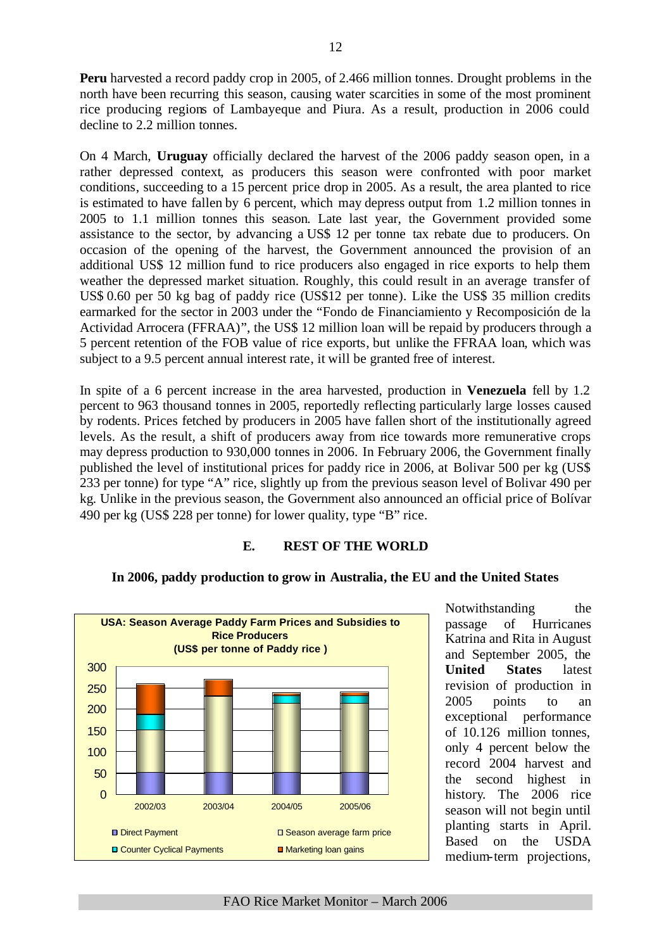**Peru** harvested a record paddy crop in 2005, of 2.466 million tonnes. Drought problems in the north have been recurring this season, causing water scarcities in some of the most prominent rice producing regions of Lambayeque and Piura. As a result, production in 2006 could decline to 2.2 million tonnes.

On 4 March, **Uruguay** officially declared the harvest of the 2006 paddy season open, in a rather depressed context, as producers this season were confronted with poor market conditions, succeeding to a 15 percent price drop in 2005. As a result, the area planted to rice is estimated to have fallen by 6 percent, which may depress output from 1.2 million tonnes in 2005 to 1.1 million tonnes this season. Late last year, the Government provided some assistance to the sector, by advancing a US\$ 12 per tonne tax rebate due to producers. On occasion of the opening of the harvest, the Government announced the provision of an additional US\$ 12 million fund to rice producers also engaged in rice exports to help them weather the depressed market situation. Roughly, this could result in an average transfer of US\$ 0.60 per 50 kg bag of paddy rice (US\$12 per tonne). Like the US\$ 35 million credits earmarked for the sector in 2003 under the "Fondo de Financiamiento y Recomposición de la Actividad Arrocera (FFRAA)", the US\$ 12 million loan will be repaid by producers through a 5 percent retention of the FOB value of rice exports, but unlike the FFRAA loan, which was subject to a 9.5 percent annual interest rate, it will be granted free of interest.

In spite of a 6 percent increase in the area harvested, production in **Venezuela** fell by 1.2 percent to 963 thousand tonnes in 2005, reportedly reflecting particularly large losses caused by rodents. Prices fetched by producers in 2005 have fallen short of the institutionally agreed levels. As the result, a shift of producers away from rice towards more remunerative crops may depress production to 930,000 tonnes in 2006. In February 2006, the Government finally published the level of institutional prices for paddy rice in 2006, at Bolivar 500 per kg (US\$ 233 per tonne) for type "A" rice, slightly up from the previous season level of Bolivar 490 per kg. Unlike in the previous season, the Government also announced an official price of Bolívar 490 per kg (US\$ 228 per tonne) for lower quality, type "B" rice.

# **E. REST OF THE WORLD**



# **In 2006, paddy production to grow in Australia, the EU and the United States**

Notwithstanding the passage of Hurricanes Katrina and Rita in August and September 2005, the **United States** latest revision of production in 2005 points to an exceptional performance of 10.126 million tonnes, only 4 percent below the record 2004 harvest and the second highest in history. The 2006 rice season will not begin until planting starts in April. Based on the USDA medium-term projections,

FAO Rice Market Monitor – March 2006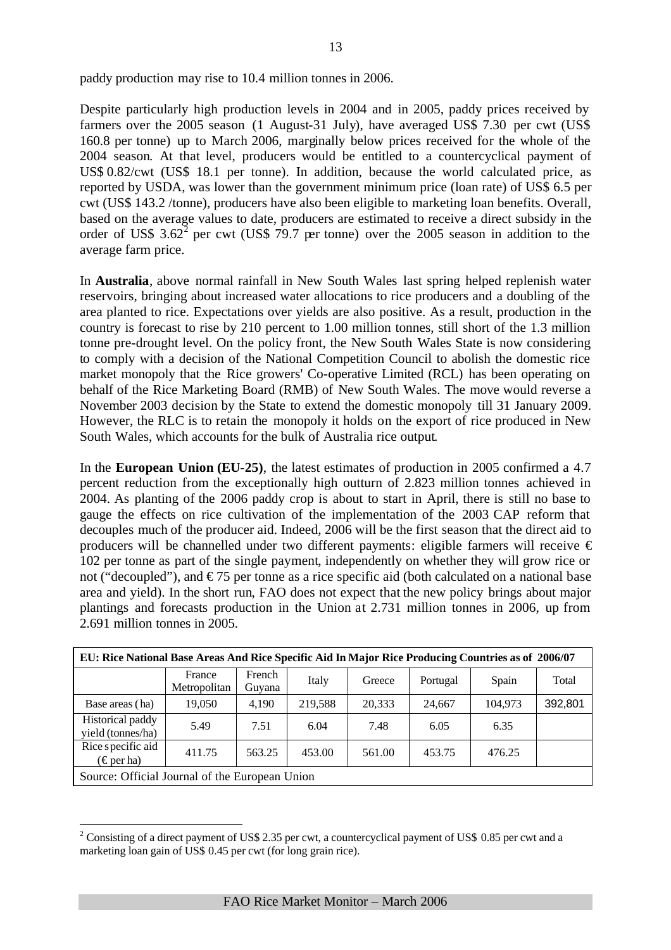paddy production may rise to 10.4 million tonnes in 2006.

Despite particularly high production levels in 2004 and in 2005, paddy prices received by farmers over the 2005 season (1 August-31 July), have averaged US\$ 7.30 per cwt (US\$ 160.8 per tonne) up to March 2006, marginally below prices received for the whole of the 2004 season. At that level, producers would be entitled to a countercyclical payment of US\$ 0.82/cwt (US\$ 18.1 per tonne). In addition, because the world calculated price, as reported by USDA, was lower than the government minimum price (loan rate) of US\$ 6.5 per cwt (US\$ 143.2 /tonne), producers have also been eligible to marketing loan benefits. Overall, based on the average values to date, producers are estimated to receive a direct subsidy in the order of US\$  $3.62^2$  per cwt (US\$ 79.7 per tonne) over the 2005 season in addition to the average farm price.

In **Australia**, above normal rainfall in New South Wales last spring helped replenish water reservoirs, bringing about increased water allocations to rice producers and a doubling of the area planted to rice. Expectations over yields are also positive. As a result, production in the country is forecast to rise by 210 percent to 1.00 million tonnes, still short of the 1.3 million tonne pre-drought level. On the policy front, the New South Wales State is now considering to comply with a decision of the National Competition Council to abolish the domestic rice market monopoly that the Rice growers' Co-operative Limited (RCL) has been operating on behalf of the Rice Marketing Board (RMB) of New South Wales. The move would reverse a November 2003 decision by the State to extend the domestic monopoly till 31 January 2009. However, the RLC is to retain the monopoly it holds on the export of rice produced in New South Wales, which accounts for the bulk of Australia rice output.

In the **European Union (EU-25)**, the latest estimates of production in 2005 confirmed a 4.7 percent reduction from the exceptionally high outturn of 2.823 million tonnes achieved in 2004. As planting of the 2006 paddy crop is about to start in April, there is still no base to gauge the effects on rice cultivation of the implementation of the 2003 CAP reform that decouples much of the producer aid. Indeed, 2006 will be the first season that the direct aid to producers will be channelled under two different payments: eligible farmers will receive  $\epsilon$ 102 per tonne as part of the single payment, independently on whether they will grow rice or not ("decoupled"), and  $\epsilon$ 75 per tonne as a rice specific aid (both calculated on a national base area and yield). In the short run, FAO does not expect that the new policy brings about major plantings and forecasts production in the Union at 2.731 million tonnes in 2006, up from 2.691 million tonnes in 2005.

| EU: Rice National Base Areas And Rice Specific Aid In Major Rice Producing Countries as of 2006/07 |                        |                  |         |        |          |         |         |
|----------------------------------------------------------------------------------------------------|------------------------|------------------|---------|--------|----------|---------|---------|
|                                                                                                    | France<br>Metropolitan | French<br>Guyana | Italy   | Greece | Portugal | Spain   | Total   |
| Base areas (ha)                                                                                    | 19,050                 | 4,190            | 219,588 | 20,333 | 24,667   | 104,973 | 392,801 |
| Historical paddy<br>yield (tonnes/ha)                                                              | 5.49                   | 7.51             | 6.04    | 7.48   | 6.05     | 6.35    |         |
| Rice specific aid<br>$\epsilon$ per ha)                                                            | 411.75                 | 563.25           | 453.00  | 561.00 | 453.75   | 476.25  |         |
| Source: Official Journal of the European Union                                                     |                        |                  |         |        |          |         |         |

<sup>&</sup>lt;sup>2</sup> Consisting of a direct payment of US\$ 2.35 per cwt, a countercyclical payment of US\$ 0.85 per cwt and a marketing loan gain of US\$ 0.45 per cwt (for long grain rice).

 $\overline{a}$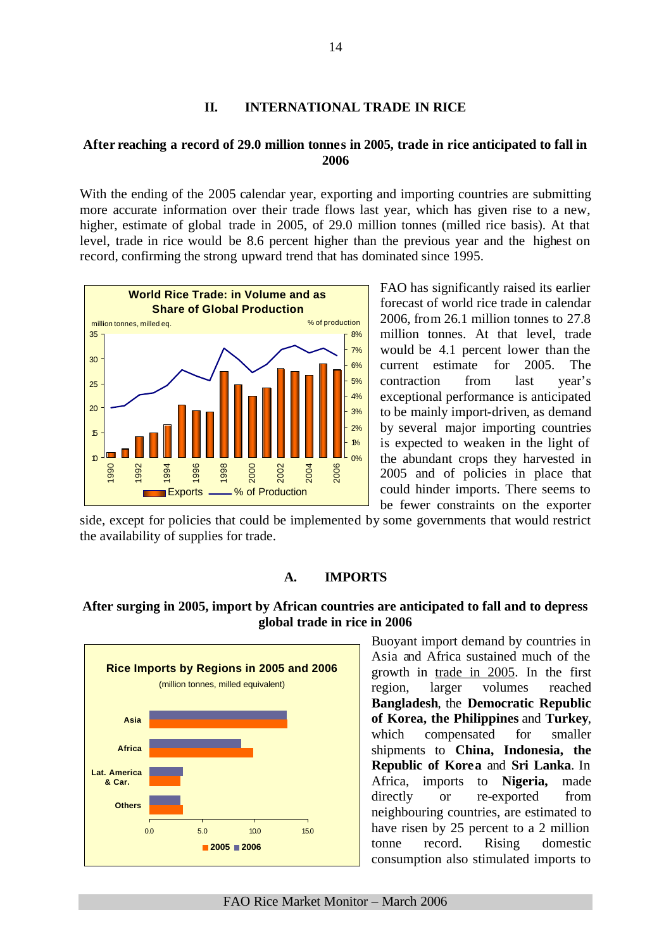# **II. INTERNATIONAL TRADE IN RICE**

# **After reaching a record of 29.0 million tonnes in 2005, trade in rice anticipated to fall in 2006**

With the ending of the 2005 calendar year, exporting and importing countries are submitting more accurate information over their trade flows last year, which has given rise to a new, higher, estimate of global trade in 2005, of 29.0 million tonnes (milled rice basis). At that level, trade in rice would be 8.6 percent higher than the previous year and the highest on record, confirming the strong upward trend that has dominated since 1995.



FAO has significantly raised its earlier forecast of world rice trade in calendar 2006, from 26.1 million tonnes to 27.8 million tonnes. At that level, trade would be 4.1 percent lower than the current estimate for 2005. The contraction from last year's exceptional performance is anticipated to be mainly import-driven, as demand by several major importing countries is expected to weaken in the light of the abundant crops they harvested in 2005 and of policies in place that could hinder imports. There seems to be fewer constraints on the exporter

side, except for policies that could be implemented by some governments that would restrict the availability of supplies for trade.

### **A. IMPORTS**

# **After surging in 2005, import by African countries are anticipated to fall and to depress global trade in rice in 2006**



Buoyant import demand by countries in Asia and Africa sustained much of the growth in trade in 2005. In the first region, larger volumes reached **Bangladesh**, the **Democratic Republic of Korea, the Philippines** and **Turkey**, which compensated for smaller shipments to **China, Indonesia, the Republic of Korea** and **Sri Lanka**. In Africa, imports to **Nigeria,** made directly or re-exported from neighbouring countries, are estimated to have risen by 25 percent to a 2 million tonne record. Rising domestic consumption also stimulated imports to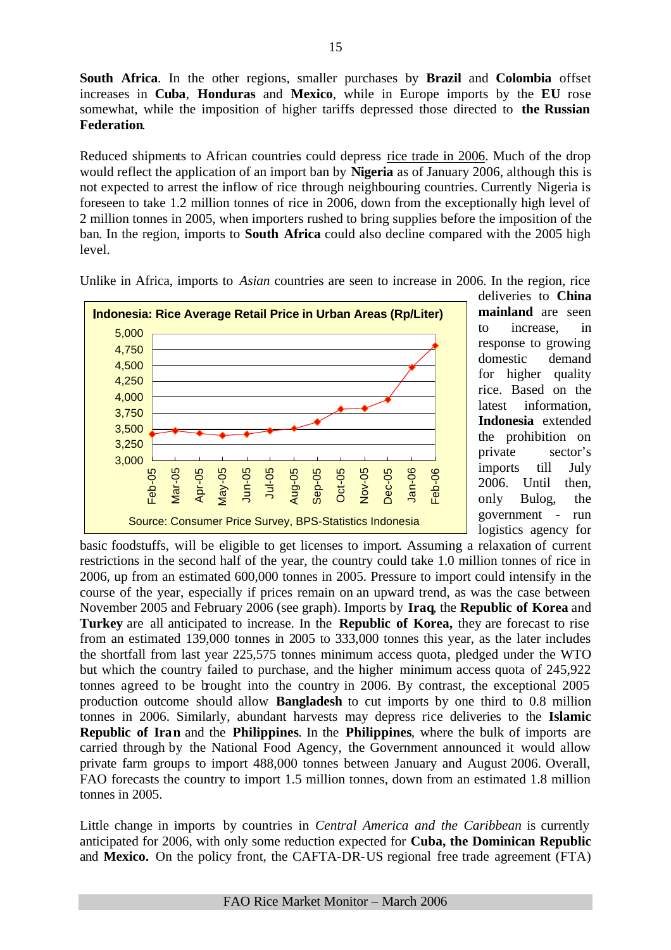**South Africa**. In the other regions, smaller purchases by **Brazil** and **Colombia** offset increases in **Cuba**, **Honduras** and **Mexico**, while in Europe imports by the **EU** rose somewhat, while the imposition of higher tariffs depressed those directed to **the Russian Federation**.

Reduced shipments to African countries could depress rice trade in 2006. Much of the drop would reflect the application of an import ban by **Nigeria** as of January 2006, although this is not expected to arrest the inflow of rice through neighbouring countries. Currently Nigeria is foreseen to take 1.2 million tonnes of rice in 2006, down from the exceptionally high level of 2 million tonnes in 2005, when importers rushed to bring supplies before the imposition of the ban. In the region, imports to **South Africa** could also decline compared with the 2005 high level.



Unlike in Africa, imports to *Asian* countries are seen to increase in 2006. In the region, rice

deliveries to **China mainland** are seen to increase, in response to growing domestic demand for higher quality rice. Based on the latest information, **Indonesia** extended the prohibition on private sector's imports till July 2006. Until then, only Bulog, the government - run logistics agency for

basic foodstuffs, will be eligible to get licenses to import. Assuming a relaxation of current restrictions in the second half of the year, the country could take 1.0 million tonnes of rice in 2006, up from an estimated 600,000 tonnes in 2005. Pressure to import could intensify in the course of the year, especially if prices remain on an upward trend, as was the case between November 2005 and February 2006 (see graph). Imports by **Iraq**, the **Republic of Korea** and **Turkey** are all anticipated to increase. In the **Republic of Korea,** they are forecast to rise from an estimated 139,000 tonnes in 2005 to 333,000 tonnes this year, as the later includes the shortfall from last year 225,575 tonnes minimum access quota, pledged under the WTO but which the country failed to purchase, and the higher minimum access quota of 245,922 tonnes agreed to be brought into the country in 2006. By contrast, the exceptional 2005 production outcome should allow **Bangladesh** to cut imports by one third to 0.8 million tonnes in 2006. Similarly, abundant harvests may depress rice deliveries to the **Islamic Republic of Iran** and the **Philippines**. In the **Philippines**, where the bulk of imports are carried through by the National Food Agency, the Government announced it would allow private farm groups to import 488,000 tonnes between January and August 2006. Overall, FAO forecasts the country to import 1.5 million tonnes, down from an estimated 1.8 million tonnes in 2005.

Little change in imports by countries in *Central America and the Caribbean* is currently anticipated for 2006, with only some reduction expected for **Cuba, the Dominican Republic**  and **Mexico.** On the policy front, the CAFTA-DR-US regional free trade agreement (FTA)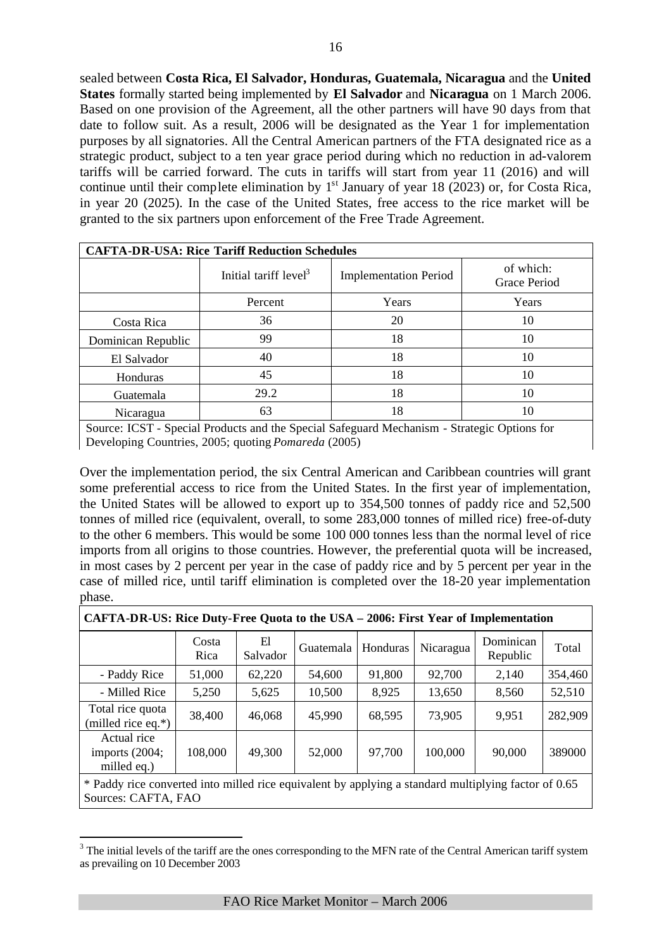sealed between **Costa Rica, El Salvador, Honduras, Guatemala, Nicaragua** and the **United States** formally started being implemented by **El Salvador** and **Nicaragua** on 1 March 2006. Based on one provision of the Agreement, all the other partners will have 90 days from that date to follow suit. As a result, 2006 will be designated as the Year 1 for implementation purposes by all signatories. All the Central American partners of the FTA designated rice as a strategic product, subject to a ten year grace period during which no reduction in ad-valorem tariffs will be carried forward. The cuts in tariffs will start from year 11 (2016) and will continue until their complete elimination by  $1<sup>st</sup>$  January of year 18 (2023) or, for Costa Rica, in year 20 (2025). In the case of the United States, free access to the rice market will be granted to the six partners upon enforcement of the Free Trade Agreement.

|                    | <b>CAFTA-DR-USA: Rice Tariff Reduction Schedules</b> |                              |                                  |
|--------------------|------------------------------------------------------|------------------------------|----------------------------------|
|                    | Initial tariff $level3$                              | <b>Implementation Period</b> | of which:<br><b>Grace Period</b> |
|                    | Percent                                              | Years                        | Years                            |
| Costa Rica         | 36                                                   | 20                           | 10                               |
| Dominican Republic | 99                                                   | 18                           | 10                               |
| El Salvador        | 40                                                   | 18                           | 10                               |
| Honduras           | 45                                                   | 18                           | 10                               |
| Guatemala          | 29.2                                                 | 18                           | 10                               |
| Nicaragua          | 63                                                   | 18                           | 10                               |

Source: ICST - Special Products and the Special Safeguard Mechanism - Strategic Options for Developing Countries, 2005; quoting *Pomareda* (2005)

Over the implementation period, the six Central American and Caribbean countries will grant some preferential access to rice from the United States. In the first year of implementation, the United States will be allowed to export up to 354,500 tonnes of paddy rice and 52,500 tonnes of milled rice (equivalent, overall, to some 283,000 tonnes of milled rice) free-of-duty to the other 6 members. This would be some 100 000 tonnes less than the normal level of rice imports from all origins to those countries. However, the preferential quota will be increased, in most cases by 2 percent per year in the case of paddy rice and by 5 percent per year in the case of milled rice, until tariff elimination is completed over the 18-20 year implementation phase.

|                                                | Costa<br>Rica | El<br>Salvador | Guatemala | Honduras | Nicaragua | Dominican<br>Republic | Total   |
|------------------------------------------------|---------------|----------------|-----------|----------|-----------|-----------------------|---------|
| - Paddy Rice                                   | 51,000        | 62,220         | 54,600    | 91,800   | 92,700    | 2,140                 | 354,460 |
| - Milled Rice                                  | 5,250         | 5,625          | 10,500    | 8,925    | 13,650    | 8,560                 | 52,510  |
| Total rice quota<br>(milled rice eq.*)         | 38,400        | 46,068         | 45,990    | 68,595   | 73,905    | 9,951                 | 282,909 |
| Actual rice<br>imports $(2004;$<br>milled eq.) | 108,000       | 49,300         | 52,000    | 97,700   | 100,000   | 90,000                | 389000  |
| .                                              |               |                | .         |          |           |                       |         |

\* Paddy rice converted into milled rice equivalent by applying a standard multiplying factor of 0.65 Sources: CAFTA, FAO

l

 $3$  The initial levels of the tariff are the ones corresponding to the MFN rate of the Central American tariff system as prevailing on 10 December 2003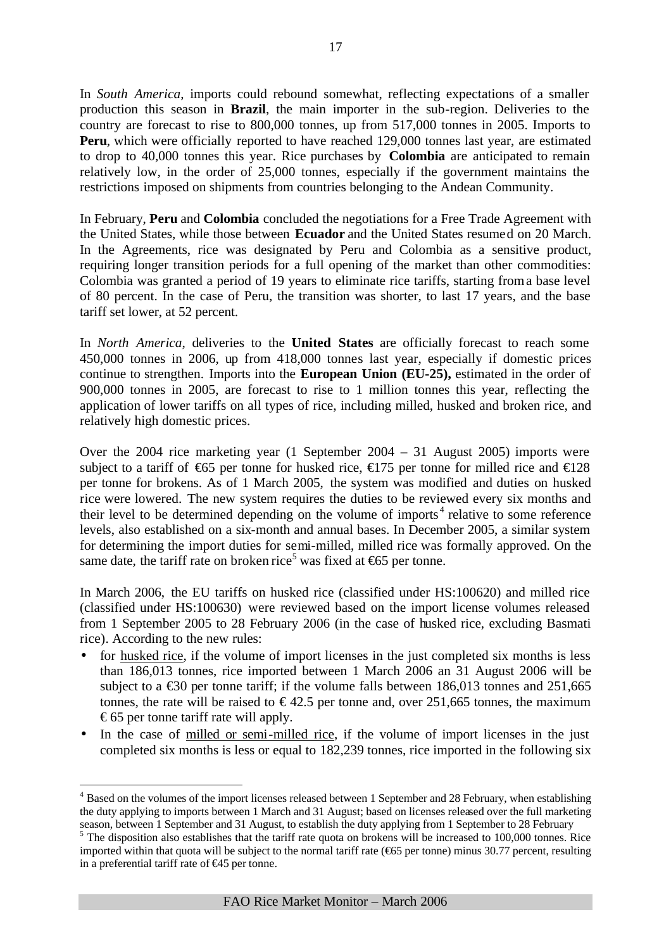In *South America*, imports could rebound somewhat, reflecting expectations of a smaller production this season in **Brazil**, the main importer in the sub-region. Deliveries to the country are forecast to rise to 800,000 tonnes, up from 517,000 tonnes in 2005. Imports to **Peru**, which were officially reported to have reached 129,000 tonnes last year, are estimated to drop to 40,000 tonnes this year. Rice purchases by **Colombia** are anticipated to remain relatively low, in the order of 25,000 tonnes, especially if the government maintains the restrictions imposed on shipments from countries belonging to the Andean Community.

In February, **Peru** and **Colombia** concluded the negotiations for a Free Trade Agreement with the United States, while those between **Ecuador** and the United States resumed on 20 March. In the Agreements, rice was designated by Peru and Colombia as a sensitive product, requiring longer transition periods for a full opening of the market than other commodities: Colombia was granted a period of 19 years to eliminate rice tariffs, starting from a base level of 80 percent. In the case of Peru, the transition was shorter, to last 17 years, and the base tariff set lower, at 52 percent.

In *North America*, deliveries to the **United States** are officially forecast to reach some 450,000 tonnes in 2006, up from 418,000 tonnes last year, especially if domestic prices continue to strengthen. Imports into the **European Union (EU-25),** estimated in the order of 900,000 tonnes in 2005, are forecast to rise to 1 million tonnes this year, reflecting the application of lower tariffs on all types of rice, including milled, husked and broken rice, and relatively high domestic prices.

Over the 2004 rice marketing year (1 September 2004 – 31 August 2005) imports were subject to a tariff of  $\bigoplus$  5 per tonne for husked rice,  $\bigoplus$  75 per tonne for milled rice and  $\bigoplus$  28 per tonne for brokens. As of 1 March 2005, the system was modified and duties on husked rice were lowered. The new system requires the duties to be reviewed every six months and their level to be determined depending on the volume of imports<sup>4</sup> relative to some reference levels, also established on a six-month and annual bases. In December 2005, a similar system for determining the import duties for semi-milled, milled rice was formally approved. On the same date, the tariff rate on broken rice<sup>5</sup> was fixed at  $\epsilon$ 65 per tonne.

In March 2006, the EU tariffs on husked rice (classified under HS:100620) and milled rice (classified under HS:100630) were reviewed based on the import license volumes released from 1 September 2005 to 28 February 2006 (in the case of husked rice, excluding Basmati rice). According to the new rules:

- for husked rice, if the volume of import licenses in the just completed six months is less than 186,013 tonnes, rice imported between 1 March 2006 an 31 August 2006 will be subject to a  $\leq 30$  per tonne tariff; if the volume falls between 186,013 tonnes and 251,665 tonnes, the rate will be raised to  $\epsilon$ 42.5 per tonne and, over 251,665 tonnes, the maximum €65 per tonne tariff rate will apply.
- In the case of milled or semi-milled rice, if the volume of import licenses in the just completed six months is less or equal to 182,239 tonnes, rice imported in the following six

 $\overline{a}$ 

<sup>&</sup>lt;sup>4</sup> Based on the volumes of the import licenses released between 1 September and 28 February, when establishing the duty applying to imports between 1 March and 31 August; based on licenses released over the full marketing season, between 1 September and 31 August, to establish the duty applying from 1 September to 28 February

<sup>&</sup>lt;sup>5</sup> The disposition also establishes that the tariff rate quota on brokens will be increased to 100,000 tonnes. Rice imported within that quota will be subject to the normal tariff rate (€65 per tonne) minus 30.77 percent, resulting in a preferential tariff rate of €45 per tonne.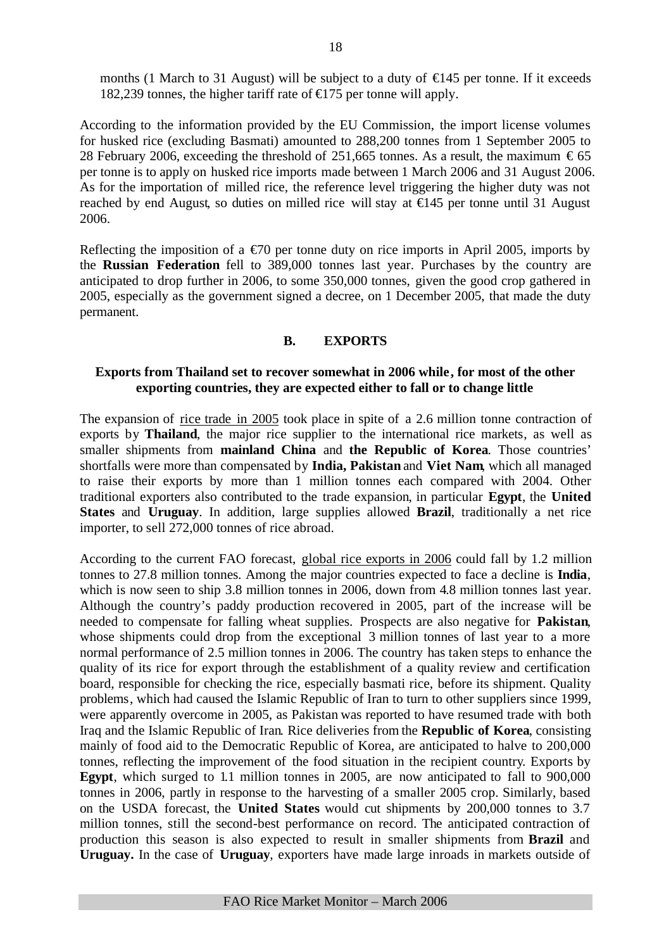months (1 March to 31 August) will be subject to a duty of  $\in$  45 per tonne. If it exceeds 182,239 tonnes, the higher tariff rate of  $\epsilon$ 175 per tonne will apply.

According to the information provided by the EU Commission, the import license volumes for husked rice (excluding Basmati) amounted to 288,200 tonnes from 1 September 2005 to 28 February 2006, exceeding the threshold of 251,665 tonnes. As a result, the maximum  $\epsilon$ 65 per tonne is to apply on husked rice imports made between 1 March 2006 and 31 August 2006. As for the importation of milled rice, the reference level triggering the higher duty was not reached by end August, so duties on milled rice will stay at €145 per tonne until 31 August 2006.

Reflecting the imposition of a  $\epsilon$ 70 per tonne duty on rice imports in April 2005, imports by the **Russian Federation** fell to 389,000 tonnes last year. Purchases by the country are anticipated to drop further in 2006, to some 350,000 tonnes, given the good crop gathered in 2005, especially as the government signed a decree, on 1 December 2005, that made the duty permanent.

# **B. EXPORTS**

# **Exports from Thailand set to recover somewhat in 2006 while, for most of the other exporting countries, they are expected either to fall or to change little**

The expansion of rice trade in 2005 took place in spite of a 2.6 million tonne contraction of exports by **Thailand**, the major rice supplier to the international rice markets, as well as smaller shipments from **mainland China** and **the Republic of Korea**. Those countries' shortfalls were more than compensated by **India, Pakistan** and **Viet Nam**, which all managed to raise their exports by more than 1 million tonnes each compared with 2004. Other traditional exporters also contributed to the trade expansion, in particular **Egypt**, the **United States** and **Uruguay**. In addition, large supplies allowed **Brazil**, traditionally a net rice importer, to sell 272,000 tonnes of rice abroad.

According to the current FAO forecast, global rice exports in 2006 could fall by 1.2 million tonnes to 27.8 million tonnes. Among the major countries expected to face a decline is **India**, which is now seen to ship 3.8 million tonnes in 2006, down from 4.8 million tonnes last year. Although the country's paddy production recovered in 2005, part of the increase will be needed to compensate for falling wheat supplies. Prospects are also negative for **Pakistan**, whose shipments could drop from the exceptional 3 million tonnes of last year to a more normal performance of 2.5 million tonnes in 2006. The country has taken steps to enhance the quality of its rice for export through the establishment of a quality review and certification board, responsible for checking the rice, especially basmati rice, before its shipment. Quality problems, which had caused the Islamic Republic of Iran to turn to other suppliers since 1999, were apparently overcome in 2005, as Pakistan was reported to have resumed trade with both Iraq and the Islamic Republic of Iran. Rice deliveries from the **Republic of Korea**, consisting mainly of food aid to the Democratic Republic of Korea, are anticipated to halve to 200,000 tonnes, reflecting the improvement of the food situation in the recipient country. Exports by **Egypt**, which surged to 1.1 million tonnes in 2005, are now anticipated to fall to 900,000 tonnes in 2006, partly in response to the harvesting of a smaller 2005 crop. Similarly, based on the USDA forecast, the **United States** would cut shipments by 200,000 tonnes to 3.7 million tonnes, still the second-best performance on record. The anticipated contraction of production this season is also expected to result in smaller shipments from **Brazil** and **Uruguay.** In the case of **Uruguay**, exporters have made large inroads in markets outside of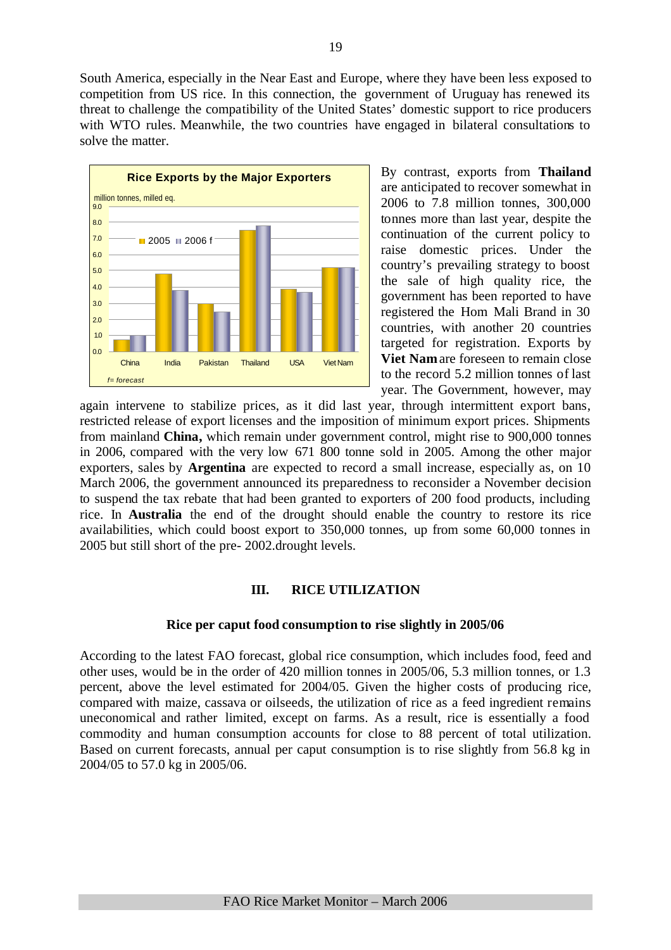South America, especially in the Near East and Europe, where they have been less exposed to competition from US rice. In this connection, the government of Uruguay has renewed its threat to challenge the compatibility of the United States' domestic support to rice producers with WTO rules. Meanwhile, the two countries have engaged in bilateral consultations to solve the matter.



By contrast, exports from **Thailand** are anticipated to recover somewhat in 2006 to 7.8 million tonnes, 300,000 tonnes more than last year, despite the continuation of the current policy to raise domestic prices. Under the country's prevailing strategy to boost the sale of high quality rice, the government has been reported to have registered the Hom Mali Brand in 30 countries, with another 20 countries targeted for registration. Exports by **Viet Nam** are foreseen to remain close to the record 5.2 million tonnes of last year. The Government, however, may

again intervene to stabilize prices, as it did last year, through intermittent export bans, restricted release of export licenses and the imposition of minimum export prices. Shipments from mainland **China,** which remain under government control, might rise to 900,000 tonnes in 2006, compared with the very low 671 800 tonne sold in 2005. Among the other major exporters, sales by **Argentina** are expected to record a small increase, especially as, on 10 March 2006, the government announced its preparedness to reconsider a November decision to suspend the tax rebate that had been granted to exporters of 200 food products, including rice. In **Australia** the end of the drought should enable the country to restore its rice availabilities, which could boost export to 350,000 tonnes, up from some 60,000 tonnes in 2005 but still short of the pre- 2002.drought levels.

# **III. RICE UTILIZATION**

# **Rice per caput food consumption to rise slightly in 2005/06**

According to the latest FAO forecast, global rice consumption, which includes food, feed and other uses, would be in the order of 420 million tonnes in 2005/06, 5.3 million tonnes, or 1.3 percent, above the level estimated for 2004/05. Given the higher costs of producing rice, compared with maize, cassava or oilseeds, the utilization of rice as a feed ingredient remains uneconomical and rather limited, except on farms. As a result, rice is essentially a food commodity and human consumption accounts for close to 88 percent of total utilization. Based on current forecasts, annual per caput consumption is to rise slightly from 56.8 kg in 2004/05 to 57.0 kg in 2005/06.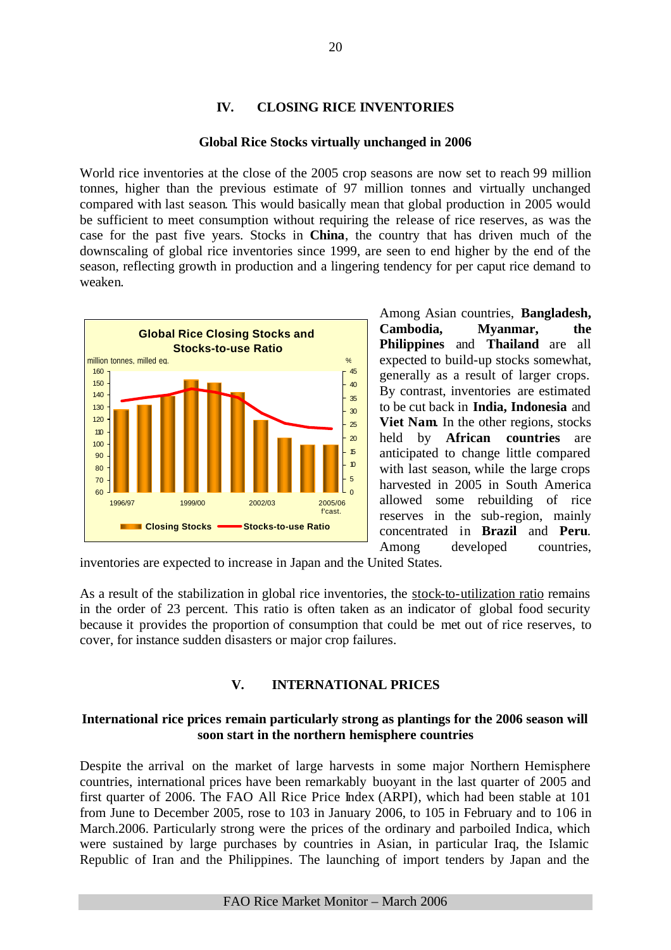# **IV. CLOSING RICE INVENTORIES**

#### **Global Rice Stocks virtually unchanged in 2006**

World rice inventories at the close of the 2005 crop seasons are now set to reach 99 million tonnes, higher than the previous estimate of 97 million tonnes and virtually unchanged compared with last season. This would basically mean that global production in 2005 would be sufficient to meet consumption without requiring the release of rice reserves, as was the case for the past five years. Stocks in **China**, the country that has driven much of the downscaling of global rice inventories since 1999, are seen to end higher by the end of the season, reflecting growth in production and a lingering tendency for per caput rice demand to weaken.



Among Asian countries, **Bangladesh, Cambodia, Myanmar, the Philippines** and **Thailand** are all expected to build-up stocks somewhat, generally as a result of larger crops. By contrast, inventories are estimated to be cut back in **India, Indonesia** and **Viet Nam.** In the other regions, stocks held by **African countries** are anticipated to change little compared with last season, while the large crops harvested in 2005 in South America allowed some rebuilding of rice reserves in the sub-region, mainly concentrated in **Brazil** and **Peru**. Among developed countries,

inventories are expected to increase in Japan and the United States.

As a result of the stabilization in global rice inventories, the stock-to-utilization ratio remains in the order of 23 percent. This ratio is often taken as an indicator of global food security because it provides the proportion of consumption that could be met out of rice reserves, to cover, for instance sudden disasters or major crop failures.

# **V. INTERNATIONAL PRICES**

# **International rice prices remain particularly strong as plantings for the 2006 season will soon start in the northern hemisphere countries**

Despite the arrival on the market of large harvests in some major Northern Hemisphere countries, international prices have been remarkably buoyant in the last quarter of 2005 and first quarter of 2006. The FAO All Rice Price Index (ARPI), which had been stable at 101 from June to December 2005, rose to 103 in January 2006, to 105 in February and to 106 in March.2006. Particularly strong were the prices of the ordinary and parboiled Indica, which were sustained by large purchases by countries in Asian, in particular Iraq, the Islamic Republic of Iran and the Philippines. The launching of import tenders by Japan and the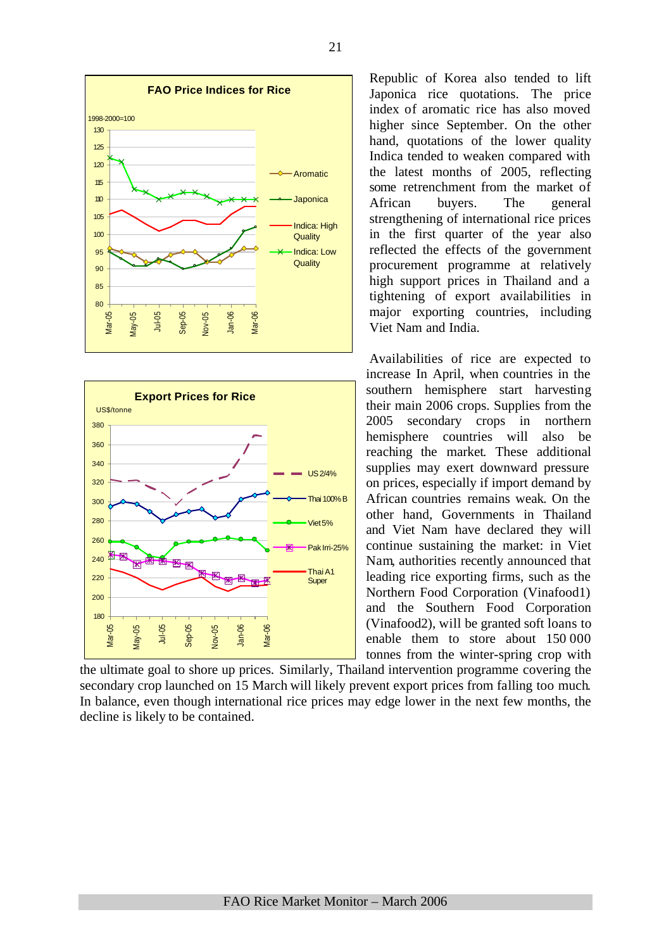



Republic of Korea also tended to lift Japonica rice quotations. The price index of aromatic rice has also moved higher since September. On the other hand, quotations of the lower quality Indica tended to weaken compared with the latest months of 2005, reflecting some retrenchment from the market of African buyers. The general strengthening of international rice prices in the first quarter of the year also reflected the effects of the government procurement programme at relatively high support prices in Thailand and a tightening of export availabilities in major exporting countries, including Viet Nam and India.

Availabilities of rice are expected to increase In April, when countries in the southern hemisphere start harvesting their main 2006 crops. Supplies from the 2005 secondary crops in northern hemisphere countries will also be reaching the market. These additional supplies may exert downward pressure on prices, especially if import demand by African countries remains weak. On the other hand, Governments in Thailand and Viet Nam have declared they will continue sustaining the market: in Viet Nam, authorities recently announced that leading rice exporting firms, such as the Northern Food Corporation (Vinafood1) and the Southern Food Corporation (Vinafood2), will be granted soft loans to enable them to store about 150 000 tonnes from the winter-spring crop with

the ultimate goal to shore up prices. Similarly, Thailand intervention programme covering the secondary crop launched on 15 March will likely prevent export prices from falling too much. In balance, even though international rice prices may edge lower in the next few months, the decline is likely to be contained.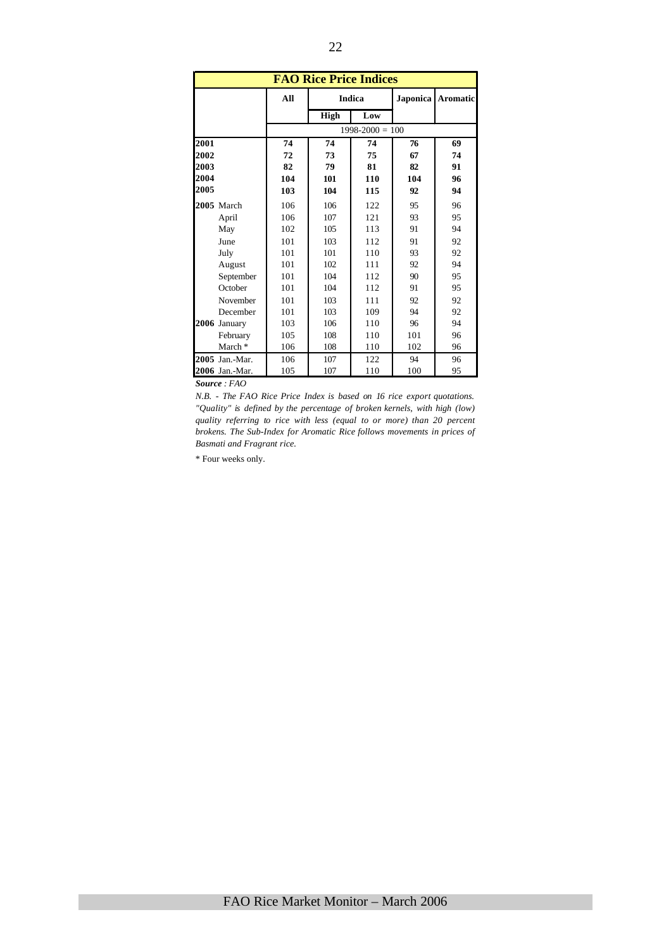|      |                    |     | <b>FAO Rice Price Indices</b> |                     |          |                 |
|------|--------------------|-----|-------------------------------|---------------------|----------|-----------------|
|      |                    | All |                               | <b>Indica</b>       | Japonica | <b>Aromatic</b> |
|      |                    |     | High                          | Low                 |          |                 |
|      |                    |     |                               | $1998 - 2000 = 100$ |          |                 |
| 2001 |                    | 74  | 74                            | 74                  | 76       | 69              |
| 2002 |                    | 72  | 73                            | 75                  | 67       | 74              |
| 2003 |                    | 82  | 79                            | 81                  | 82       | 91              |
| 2004 |                    | 104 | 101                           | 110                 | 104      | 96              |
| 2005 |                    | 103 | 104                           | 115                 | 92       | 94              |
|      | 2005 March         | 106 | 106                           | 122                 | 95       | 96              |
|      | April              | 106 | 107                           | 121                 | 93       | 95              |
|      | May                | 102 | 105                           | 113                 | 91       | 94              |
|      | June               | 101 | 103                           | 112                 | 91       | 92              |
|      | July               | 101 | 101                           | 110                 | 93       | 92              |
|      | August             | 101 | 102                           | 111                 | 92       | 94              |
|      | September          | 101 | 104                           | 112                 | 90       | 95              |
|      | October            | 101 | 104                           | 112                 | 91       | 95              |
|      | November           | 101 | 103                           | 111                 | 92       | 92              |
|      | December           | 101 | 103                           | 109                 | 94       | 92              |
|      | 2006 January       | 103 | 106                           | 110                 | 96       | 94              |
|      | February           | 105 | 108                           | 110                 | 101      | 96              |
|      | March <sup>*</sup> | 106 | 108                           | 110                 | 102      | 96              |
|      | 2005 Jan.-Mar.     | 106 | 107                           | 122                 | 94       | 96              |
|      | 2006 Jan.-Mar.     | 105 | 107                           | 110                 | 100      | 95              |

*Source : FAO* 

*N.B. - The FAO Rice Price Index is based on 16 rice export quotations. "Quality" is defined by the percentage of broken kernels, with high (low) quality referring to rice with less (equal to or more) than 20 percent brokens. The Sub-Index for Aromatic Rice follows movements in prices of Basmati and Fragrant rice.*

\* Four weeks only.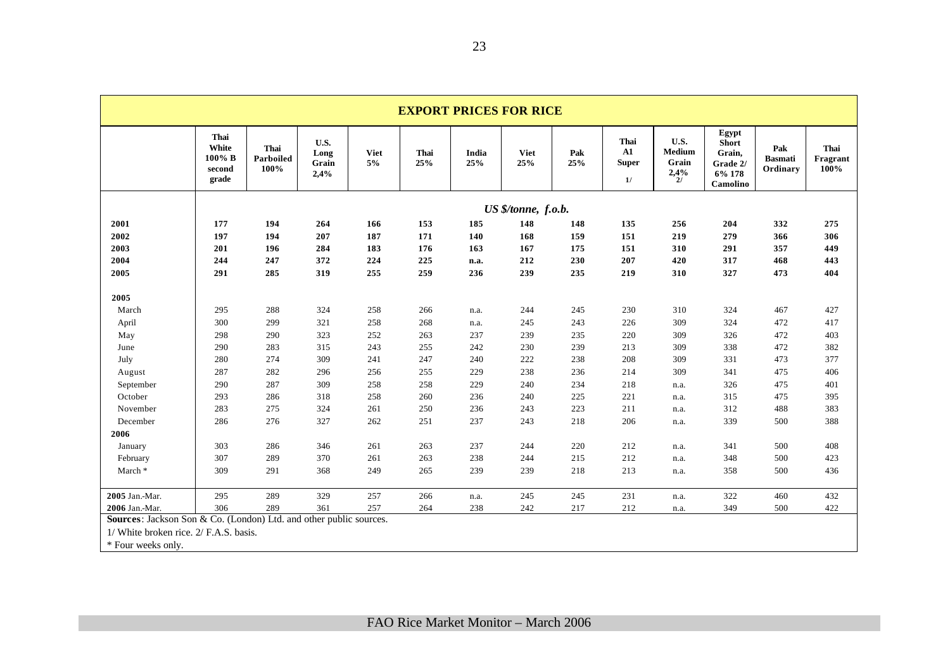|                                                                    |                                            |                           |                               |                   |             |              | <b>EXPORT PRICES FOR RICE</b> |            |                                           |                                 |                                                                   |                                   |                          |
|--------------------------------------------------------------------|--------------------------------------------|---------------------------|-------------------------------|-------------------|-------------|--------------|-------------------------------|------------|-------------------------------------------|---------------------------------|-------------------------------------------------------------------|-----------------------------------|--------------------------|
|                                                                    | Thai<br>White<br>100% B<br>second<br>grade | Thai<br>Parboiled<br>100% | U.S.<br>Long<br>Grain<br>2,4% | <b>Viet</b><br>5% | Thai<br>25% | India<br>25% | <b>Viet</b><br>25%            | Pak<br>25% | Thai<br>${\bf A1}$<br>${\bf Super}$<br>1/ | U.S.<br>Medium<br>Grain<br>2,4% | Egypt<br><b>Short</b><br>Grain,<br>Grade 2/<br>6% 178<br>Camolino | Pak<br><b>Basmati</b><br>Ordinary | Thai<br>Fragrant<br>100% |
|                                                                    |                                            |                           |                               |                   |             |              | US \$/tonne, f.o.b.           |            |                                           |                                 |                                                                   |                                   |                          |
| 2001                                                               | 177                                        | 194                       | 264                           | 166               | 153         | 185          | 148                           | 148        | 135                                       | 256                             | 204                                                               | 332                               | 275                      |
| 2002                                                               | 197                                        | 194                       | 207                           | 187               | 171         | 140          | 168                           | 159        | 151                                       | 219                             | 279                                                               | 366                               | 306                      |
| 2003                                                               | 201                                        | 196                       | 284                           | 183               | 176         | 163          | 167                           | 175        | 151                                       | 310                             | 291                                                               | 357                               | 449                      |
| 2004                                                               | 244                                        | 247                       | 372                           | 224               | 225         | n.a.         | 212                           | 230        | 207                                       | 420                             | 317                                                               | 468                               | 443                      |
| 2005                                                               | 291                                        | 285                       | 319                           | 255               | 259         | 236          | 239                           | 235        | 219                                       | 310                             | 327                                                               | 473                               | 404                      |
| 2005                                                               |                                            |                           |                               |                   |             |              |                               |            |                                           |                                 |                                                                   |                                   |                          |
| March                                                              | 295                                        | 288                       | 324                           | 258               | 266         | n.a.         | 244                           | 245        | 230                                       | 310                             | 324                                                               | 467                               | 427                      |
| April                                                              | 300                                        | 299                       | 321                           | 258               | 268         | n.a.         | 245                           | 243        | 226                                       | 309                             | 324                                                               | 472                               | 417                      |
| May                                                                | 298                                        | 290                       | 323                           | 252               | 263         | 237          | 239                           | 235        | 220                                       | 309                             | 326                                                               | 472                               | 403                      |
| June                                                               | 290                                        | 283                       | 315                           | 243               | 255         | 242          | 230                           | 239        | 213                                       | 309                             | 338                                                               | 472                               | 382                      |
| July                                                               | 280                                        | 274                       | 309                           | 241               | 247         | 240          | 222                           | 238        | 208                                       | 309                             | 331                                                               | 473                               | 377                      |
| August                                                             | 287                                        | 282                       | 296                           | 256               | 255         | 229          | 238                           | 236        | 214                                       | 309                             | 341                                                               | 475                               | 406                      |
| September                                                          | 290                                        | 287                       | 309                           | 258               | 258         | 229          | 240                           | 234        | 218                                       | n.a.                            | 326                                                               | 475                               | 401                      |
| October                                                            | 293                                        | 286                       | 318                           | 258               | 260         | 236          | 240                           | 225        | 221                                       | n.a.                            | 315                                                               | 475                               | 395                      |
| November                                                           | 283                                        | 275                       | 324                           | 261               | 250         | 236          | 243                           | 223        | 211                                       | n.a.                            | 312                                                               | 488                               | 383                      |
| December                                                           | 286                                        | 276                       | 327                           | 262               | 251         | 237          | 243                           | 218        | 206                                       | n.a.                            | 339                                                               | 500                               | 388                      |
| 2006                                                               |                                            |                           |                               |                   |             |              |                               |            |                                           |                                 |                                                                   |                                   |                          |
| January                                                            | 303                                        | 286                       | 346                           | 261               | 263         | 237          | 244                           | 220        | 212                                       | n.a.                            | 341                                                               | 500                               | 408                      |
| February                                                           | 307                                        | 289                       | 370                           | 261               | 263         | 238          | 244                           | 215        | 212                                       | n.a.                            | 348                                                               | 500                               | 423                      |
| March *                                                            | 309                                        | 291                       | 368                           | 249               | 265         | 239          | 239                           | 218        | 213                                       | n.a.                            | 358                                                               | 500                               | 436                      |
| 2005 Jan.-Mar.                                                     | 295                                        | 289                       | 329                           | 257               | 266         | n.a.         | 245                           | 245        | 231                                       | n.a.                            | 322                                                               | 460                               | 432                      |
| 2006 Jan.-Mar.                                                     | 306                                        | 289                       | 361                           | 257               | 264         | 238          | 242                           | 217        | 212                                       | n.a.                            | 349                                                               | 500                               | 422                      |
| Sources: Jackson Son & Co. (London) Ltd. and other public sources. |                                            |                           |                               |                   |             |              |                               |            |                                           |                                 |                                                                   |                                   |                          |
| 1/ White broken rice. 2/ F.A.S. basis.                             |                                            |                           |                               |                   |             |              |                               |            |                                           |                                 |                                                                   |                                   |                          |
| * Four weeks only.                                                 |                                            |                           |                               |                   |             |              |                               |            |                                           |                                 |                                                                   |                                   |                          |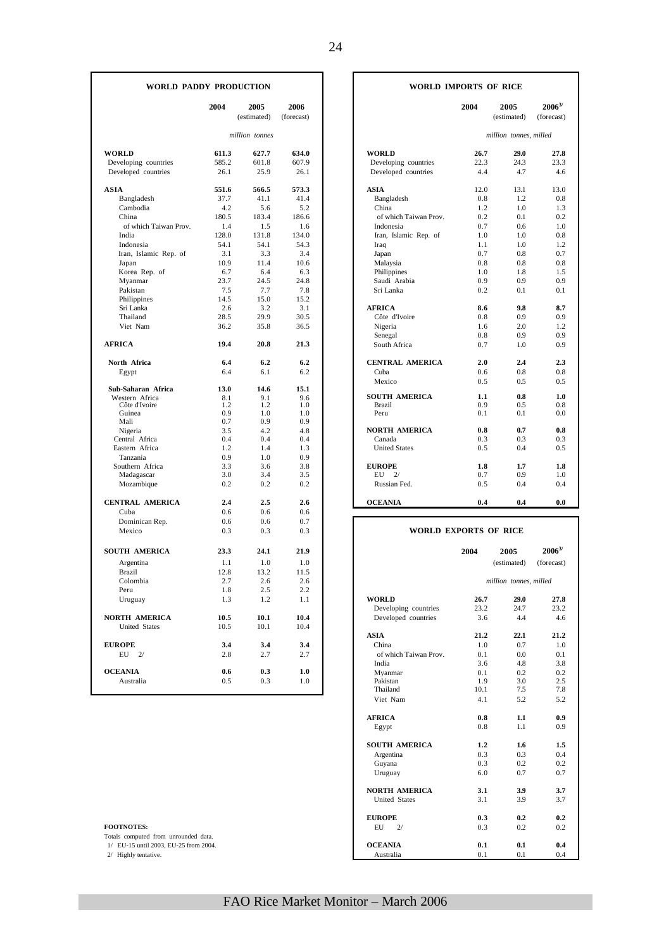|                       | 2004  | 2005<br>(estimated) | 2006<br>(forecast) |                             | 2004       | 2005<br>(estimated)    | $2006^{3/2}$<br>(forecast) |
|-----------------------|-------|---------------------|--------------------|-----------------------------|------------|------------------------|----------------------------|
|                       |       | million tonnes      |                    |                             |            | million tonnes, milled |                            |
| WORLD                 | 611.3 | 627.7               | 634.0              | <b>WORLD</b>                | 26.7       | 29.0                   | 27.8                       |
| Developing countries  | 585.2 | 601.8               | 607.9              | Developing countries        | 22.3       | 24.3                   | 23.3                       |
| Developed countries   | 26.1  | 25.9                | 26.1               | Developed countries         | 4.4        | 4.7                    | 4.6                        |
| <b>ASIA</b>           | 551.6 | 566.5               | 573.3              | <b>ASIA</b>                 | 12.0       | 13.1                   | 13.0                       |
| Bangladesh            | 37.7  | 41.1                | 41.4               | Bangladesh                  | 0.8        | 1.2                    | 0.8                        |
| Cambodia              | 4.2   | 5.6                 | 5.2                | China                       | 1.2        | 1.0                    | 1.3                        |
| China                 | 180.5 | 183.4               | 186.6              | of which Taiwan Prov.       | 0.2        | 0.1                    | 0.2                        |
| of which Taiwan Prov. | 1.4   | 1.5                 | 1.6                | Indonesia                   | 0.7        | 0.6                    | 1.0                        |
| India                 | 128.0 | 131.8               | 134.0              | Iran, Islamic Rep. of       | 1.0        | 1.0                    | 0.8                        |
| Indonesia             | 54.1  | 54.1                | 54.3               | Iraq                        | 1.1        | 1.0                    | 1.2                        |
| Iran, Islamic Rep. of | 3.1   | 3.3                 | 3.4                | Japan                       | 0.7        | 0.8                    | 0.7                        |
| Japan                 | 10.9  | 11.4                | 10.6               | Malaysia                    | 0.8        | 0.8                    | 0.8                        |
| Korea Rep. of         | 6.7   | 6.4                 | 6.3                | Philippines                 | 1.0        | 1.8                    | 1.5                        |
| Myanmar               | 23.7  | 24.5                | 24.8               | Saudi Arabia                | 0.9        | 0.9                    | 0.9                        |
| Pakistan              | 7.5   | 7.7                 | 7.8                | Sri Lanka                   | 0.2        | 0.1                    | 0.1                        |
| Philippines           | 14.5  | 15.0                | 15.2               |                             |            |                        |                            |
| Sri Lanka             | 2.6   | 3.2                 | 3.1                | <b>AFRICA</b>               | 8.6        | 9.8                    | 8.7                        |
| Thailand              | 28.5  | 29.9                | 30.5               | Côte d'Ivoire               | 0.8        | 0.9                    | 0.9                        |
| Viet Nam              | 36.2  | 35.8                | 36.5               | Nigeria                     | 1.6        | 2.0                    | 1.2                        |
|                       |       |                     |                    | Senegal                     | 0.8        | 0.9                    | 0.9                        |
| 1.00101               | 10 A  | 200                 | 212                | $\sim$ $\sim$ $\sim$ $\sim$ | $\sim$ $-$ | $\sim$ $\sim$          | $\sim$ $\sim$              |

Tanzania  $0.9$  1.0 0.9<br>
Southern Africa 3.3 3.6 3.8

Cuba 0.6 0.6 0.6 Dominican Rep. 0.6 0.6 0.7 Mexico 0.3 0.3 0.3 **SOUTH AMERICA 23.3 24.1 21.9** 

| China                 | 180.5 | 183.4          | 186.6 | of which Taiwan Prov.  | 0.2 | 0.1 | 0.2 |
|-----------------------|-------|----------------|-------|------------------------|-----|-----|-----|
| of which Taiwan Prov. | 1.4   | 1.5            | 1.6   | Indonesia              | 0.7 | 0.6 | 1.0 |
| India                 | 128.0 | 131.8          | 134.0 | Iran, Islamic Rep. of  | 1.0 | 1.0 | 0.8 |
| Indonesia             | 54.1  | 54.1           | 54.3  | Iraq                   | 1.1 | 1.0 | 1.2 |
| Iran, Islamic Rep. of | 3.1   | 3.3            | 3.4   | Japan                  | 0.7 | 0.8 | 0.7 |
| Japan                 | 10.9  | 11.4           | 10.6  | Malaysia               | 0.8 | 0.8 | 0.8 |
| Korea Rep. of         | 6.7   | 6.4            | 6.3   | Philippines            | 1.0 | 1.8 | 1.5 |
| Myanmar               | 23.7  | 24.5           | 24.8  | Saudi Arabia           | 0.9 | 0.9 | 0.9 |
| Pakistan              | 7.5   | 7.7            | 7.8   | Sri Lanka              | 0.2 | 0.1 | 0.1 |
| Philippines           | 14.5  | 15.0           | 15.2  |                        |     |     |     |
| Sri Lanka             | 2.6   | 3.2            | 3.1   | <b>AFRICA</b>          | 8.6 | 9.8 | 8.7 |
| Thailand              | 28.5  | 29.9           | 30.5  | Côte d'Ivoire          | 0.8 | 0.9 | 0.9 |
| Viet Nam              | 36.2  | 35.8           | 36.5  | Nigeria                | 1.6 | 2.0 | 1.2 |
|                       |       |                |       | Senegal                | 0.8 | 0.9 | 0.9 |
| AFRICA                | 19.4  | 20.8           | 21.3  | South Africa           | 0.7 | 1.0 | 0.9 |
| North Africa          | 6.4   | 6.2            | 6.2   | <b>CENTRAL AMERICA</b> | 2.0 | 2.4 | 2.3 |
| Egypt                 | 6.4   | 6.1            | 6.2   | Cuba                   | 0.6 | 0.8 | 0.8 |
|                       |       |                |       | Mexico                 | 0.5 | 0.5 | 0.5 |
| Sub-Saharan Africa    | 13.0  | 14.6           | 15.1  |                        |     |     |     |
| Western Africa        | 8.1   | 9.1            | 9.6   | <b>SOUTH AMERICA</b>   | 1.1 | 0.8 | 1.0 |
| Côte d'Ivoire         | 1.2   | 1.2            | 1.0   | <b>Brazil</b>          | 0.9 | 0.5 | 0.8 |
| Guinea                | 0.9   | 1.0            | 1.0   | Peru                   | 0.1 | 0.1 | 0.0 |
| Mali                  | 0.7   | 0.9            | 0.9   |                        |     |     |     |
| Nigeria               | 3.5   | 4.2            | 4.8   | <b>NORTH AMERICA</b>   | 0.8 | 0.7 | 0.8 |
| Central Africa        | 0.4   | 0.4            | 0.4   | Canada                 | 0.3 | 0.3 | 0.3 |
| Eastern Africa        | 1.2   | 1.4            | 1.3   | <b>United States</b>   | 0.5 | 0.4 | 0.5 |
| Tanzania              | 09    | 1 <sub>0</sub> | 09    |                        |     |     |     |

#### **WORLD EXPORTS OF RICE**

| <b>SOUTH AMERICA</b>                  | 23.3 | 24.1 | 21.9 |                       | 2004 | 2005                   | $2006^{3/}$ |
|---------------------------------------|------|------|------|-----------------------|------|------------------------|-------------|
| Argentina                             | 1.1  | 1.0  | 1.0  |                       |      | (estimated)            | (forecast)  |
| Brazil                                | 12.8 | 13.2 | 11.5 |                       |      |                        |             |
| Colombia                              | 2.7  | 2.6  | 2.6  |                       |      | million tonnes, milled |             |
| Peru                                  | 1.8  | 2.5  | 2.2  |                       |      |                        |             |
| Uruguay                               | 1.3  | 1.2  | 1.1  | <b>WORLD</b>          | 26.7 | 29.0                   | 27.8        |
|                                       |      |      |      | Developing countries  | 23.2 | 24.7                   | 23.2        |
| <b>NORTH AMERICA</b>                  | 10.5 | 10.1 | 10.4 | Developed countries   | 3.6  | 4.4                    |             |
| <b>United States</b>                  | 10.5 | 10.1 | 10.4 |                       |      |                        |             |
|                                       |      |      |      | <b>ASIA</b>           | 21.2 | 22.1                   | 21.2        |
| <b>EUROPE</b>                         | 3.4  | 3.4  | 3.4  | China                 | 1.0  | 0.7                    |             |
| EU<br>2/                              | 2.8  | 2.7  | 2.7  | of which Taiwan Prov. | 0.1  | 0.0                    |             |
|                                       |      |      |      | India                 | 3.6  | 4.8                    |             |
| <b>OCEANIA</b>                        | 0.6  | 0.3  | 1.0  | Mvanmar               | 0.1  | 0.2                    |             |
| Australia                             | 0.5  | 0.3  | 1.0  | Pakistan              | 1.9  | 3.0                    |             |
|                                       |      |      |      | Thailand              | 10.1 | 7.5                    |             |
|                                       |      |      |      | Viet Nam              | 4.1  | 5.2                    |             |
|                                       |      |      |      | <b>AFRICA</b>         | 0.8  | 1.1                    |             |
|                                       |      |      |      | Egypt                 | 0.8  | 1.1                    |             |
|                                       |      |      |      | <b>SOUTH AMERICA</b>  | 1.2  | 1.6                    |             |
|                                       |      |      |      | Argentina             | 0.3  | 0.3                    |             |
|                                       |      |      |      | Guyana                | 0.3  | 0.2                    |             |
|                                       |      |      |      | Uruguay               | 6.0  | 0.7                    |             |
|                                       |      |      |      | <b>NORTH AMERICA</b>  | 3.1  | 3.9                    |             |
|                                       |      |      |      | <b>United States</b>  | 3.1  | 3.9                    |             |
|                                       |      |      |      | <b>EUROPE</b>         | 0.3  | 0.2                    |             |
| <b>FOOTNOTES:</b>                     |      |      |      | EU<br>2/              | 0.3  | 0.2                    |             |
| Totals computed from unrounded data.  |      |      |      |                       |      |                        |             |
| 1/ EU-15 until 2003, EU-25 from 2004. |      |      |      | <b>OCEANIA</b>        | 0.1  | 0.1                    |             |
| 2/ Highly tentative.                  |      |      |      | Australia             | 0.1  | 0.1                    |             |

# FAO Rice Market Monitor – March 2006

Southern Africa  $\begin{array}{ccccccccc}\n3.3 & 3.6 & 3.8 \\
3.3 & 3.6 & 3.8 \\
\hline\nMadagascar & & & 3.0 & 3.4 & 3.5\n\end{array}$  **EUROPE 1.8** 1.7 1.8<br> **Madagascar** 3.0 3.4 3.5 **EU** 2/ 0.7 0.9 1.0 Madagascar 3.0 3.4 3.5 EU 2/ 0.7 0.9 1.0 Mozambique 0.2 0.2 0.2 Russian Fed. 0.5 0.4 0.4 **CENTRAL AMERICA 2.4 2.5 2.6 OCEANIA 0.4 0.4 0.0** 

#### **WORLD PADDY PRODUCTION 1 I** WORLD IMPORTS OF RICE